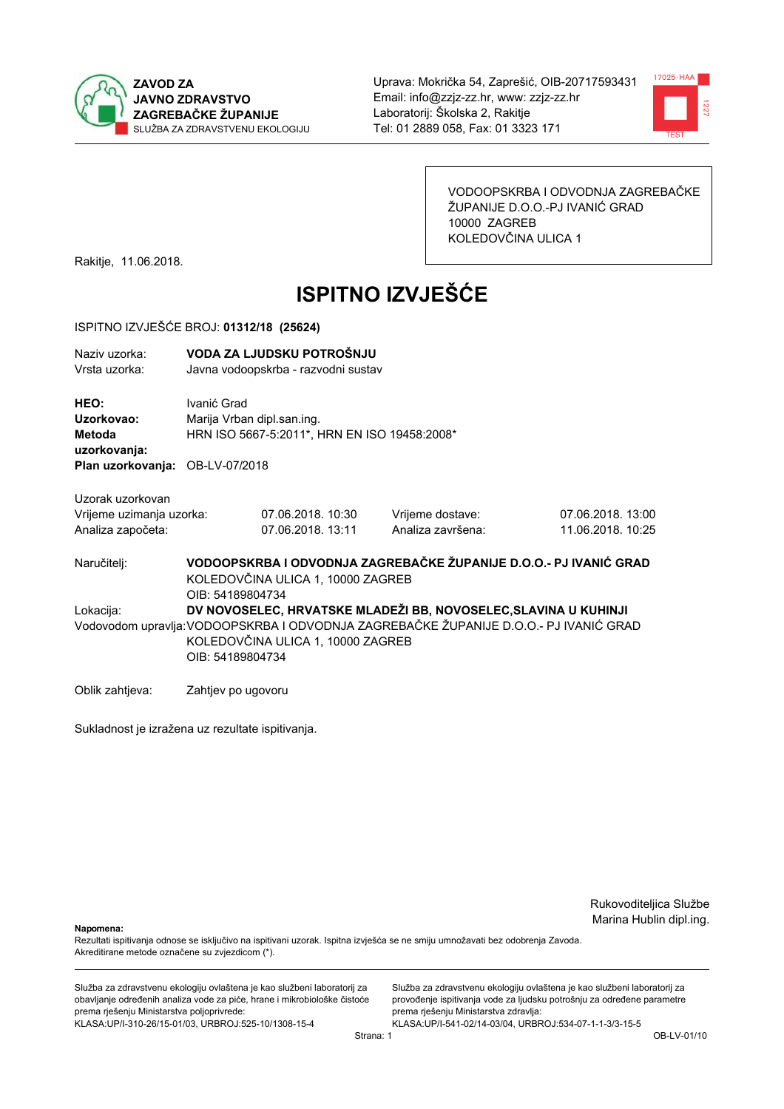



VODOOPSKRBA I ODVODNJA ZAGREBAČKE ŽUPANIJE D.O.O.-PJ IVANIĆ GRAD 10000 ZAGREB KOLEDOVČINA ULICA 1

Rakitje, 11.06.2018.

# **ISPITNO IZVJEŠĆE**

#### ISPITNO IZVJEŠĆE BROJ: 01312/18 (25624)

| Naziv uzorka:<br>Vrsta uzorka:                                                  |                                                                                                                                                                                                                   | VODA ZA LJUDSKU POTROŠNJU<br>Javna vodoopskrba - razvodni sustav           |                                                                   |                                        |  |
|---------------------------------------------------------------------------------|-------------------------------------------------------------------------------------------------------------------------------------------------------------------------------------------------------------------|----------------------------------------------------------------------------|-------------------------------------------------------------------|----------------------------------------|--|
| HEO:<br>Uzorkovao:<br>Metoda<br>uzorkovanja:<br>Plan uzorkovanja: OB-LV-07/2018 | Ivanić Grad                                                                                                                                                                                                       | Marija Vrban dipl.san.ing.<br>HRN ISO 5667-5:2011*, HRN EN ISO 19458:2008* |                                                                   |                                        |  |
| Uzorak uzorkovan                                                                |                                                                                                                                                                                                                   |                                                                            |                                                                   |                                        |  |
| Vrijeme uzimanja uzorka:<br>Analiza započeta:                                   |                                                                                                                                                                                                                   | 07.06.2018. 10:30<br>07.06.2018. 13:11                                     | Vrijeme dostave:<br>Analiza završena:                             | 07.06.2018. 13:00<br>11.06.2018. 10:25 |  |
| Naručitelj:                                                                     | OIB: 54189804734                                                                                                                                                                                                  | KOLEDOVČINA ULICA 1, 10000 ZAGREB                                          | VODOOPSKRBA I ODVODNJA ZAGREBAČKE ŽUPANIJE D.O.O.- PJ IVANIĆ GRAD |                                        |  |
| Lokacija:                                                                       | DV NOVOSELEC, HRVATSKE MLADEŽI BB, NOVOSELEC, SLAVINA U KUHINJI<br>Vodovodom upravlja: VODOOPSKRBA I ODVODNJA ZAGREBAČKE ŽUPANIJE D.O.O.- PJ IVANIĆ GRAD<br>KOLEDOVČINA ULICA 1, 10000 ZAGREB<br>OIB: 54189804734 |                                                                            |                                                                   |                                        |  |
| Oblik zahtjeva:                                                                 | Zahtjev po ugovoru                                                                                                                                                                                                |                                                                            |                                                                   |                                        |  |

Sukladnost je izražena uz rezultate ispitivanja.

Rukovoditeljica Službe Marina Hublin dipl.ing.

Napomena:

Rezultati ispitivanja odnose se isključivo na ispitivani uzorak. Ispitna izvješća se ne smiju umnožavati bez odobrenja Zavoda. Akreditirane metode označene su zvjezdicom (\*).

Služba za zdravstvenu ekologiju ovlaštena je kao službeni laboratorij za obavljanje određenih analiza vode za piće, hrane i mikrobiološke čistoće prema rješenju Ministarstva poljoprivrede: KLASA.UP/I-310-26/15-01/03, URBROJ:525-10/1308-15-4

Služba za zdravstvenu ekologiju ovlaštena je kao službeni laboratorij za provođenje ispitivanja vode za ljudsku potrošnju za određene parametre prema rješenju Ministarstva zdravlja: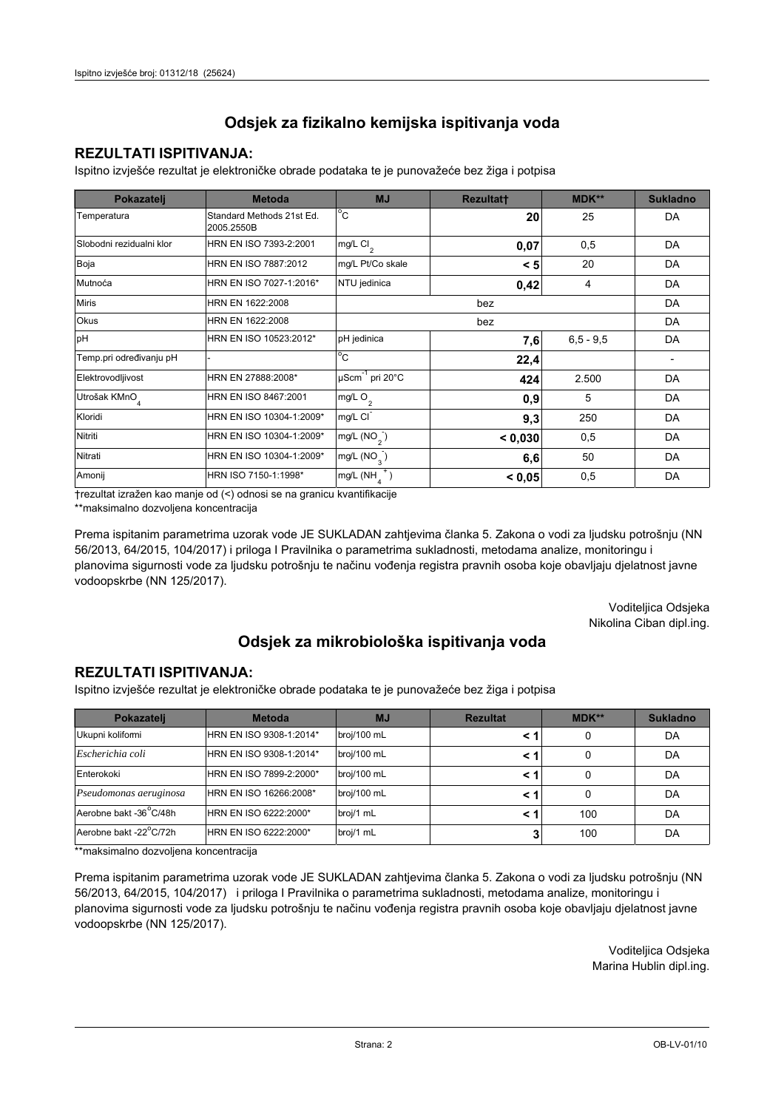### **REZULTATI ISPITIVANJA:**

Ispitno izviešće rezultat je elektroničke obrade podataka te je punovažeće bez žiga i potpisa

| Pokazatelj                | <b>Metoda</b>                           | <b>MJ</b>                   | Rezultatt | <b>MDK**</b>  | <b>Sukladno</b> |
|---------------------------|-----------------------------------------|-----------------------------|-----------|---------------|-----------------|
| Temperatura               | Standard Methods 21st Ed.<br>2005.2550B | $^{\circ}$ C                | 20        | 25            | DA              |
| Slobodni rezidualni klor  | HRN EN ISO 7393-2:2001                  | $mg/L$ Cl <sub>2</sub>      | 0,07      | 0,5           | DA              |
| Boja                      | HRN EN ISO 7887:2012                    | mg/L Pt/Co skale            | < 5       | 20            | DA              |
| Mutnoća                   | HRN EN ISO 7027-1:2016*                 | NTU jedinica                | 0,42      | 4             | DA              |
| <b>Miris</b>              | HRN EN 1622:2008                        |                             |           | DA            |                 |
| Okus                      | HRN EN 1622:2008                        |                             |           | DA            |                 |
| pH                        | HRN EN ISO 10523:2012*                  | pH jedinica                 | 7,6       | $6, 5 - 9, 5$ | DA              |
| Temp.pri određivanju pH   |                                         | $^{\circ}$ C                | 22,4      |               |                 |
| Elektrovodljivost         | HRN EN 27888:2008*                      | µScm <sup>-1</sup> pri 20°C | 424       | 2.500         | DA              |
| Utrošak KMnO <sub>4</sub> | HRN EN ISO 8467:2001                    | mg/L O <sub>2</sub>         | 0,9       | 5             | DA              |
| Kloridi                   | HRN EN ISO 10304-1:2009*                | mg/L CI                     | 9,3       | 250           | DA              |
| Nitriti                   | HRN EN ISO 10304-1:2009*                | mg/L $(NO2)$                | < 0,030   | 0,5           | DA              |
| Nitrati                   | HRN EN ISO 10304-1:2009*                | mg/L $(NO_{\alpha})$        | 6,6       | 50            | DA              |
| Amonij                    | HRN ISO 7150-1:1998*                    | mg/L (NH                    | < 0.05    | 0,5           | DA              |

trezultat izražen kao manje od (<) odnosi se na granicu kvantifikacije

\*\*maksimalno dozvoljena koncentracija

Prema ispitanim parametrima uzorak vode JE SUKLADAN zahtjevima članka 5. Zakona o vodi za ljudsku potrošnju (NN 56/2013, 64/2015, 104/2017) i priloga I Pravilnika o parametrima sukladnosti, metodama analize, monitoringu i planovima sigurnosti vode za ljudsku potrošnju te načinu vođenja registra pravnih osoba koje obavljaju djelatnost javne vodoopskrbe (NN 125/2017).

> Voditeljica Odsjeka Nikolina Ciban dipl.ing.

## Odsjek za mikrobiološka ispitivanja voda

#### **REZULTATI ISPITIVANJA:**

Ispitno izvješće rezultat je elektroničke obrade podataka te je punovažeće bez žiga i potpisa

| Pokazatelj                          | <b>Metoda</b>           | <b>MJ</b>   | <b>Rezultat</b> | MDK** | <b>Sukladno</b> |
|-------------------------------------|-------------------------|-------------|-----------------|-------|-----------------|
| Ukupni kolifomi                     | HRN EN ISO 9308-1:2014* | broj/100 mL |                 | 0     | DA              |
| Escherichia coli                    | HRN EN ISO 9308-1:2014* | broj/100 mL | < 1             | 0     | DA              |
| Enterokoki                          | HRN EN ISO 7899-2:2000* | broj/100 mL | < '             |       | DA              |
| Pseudomonas aeruginosa              | HRN EN ISO 16266:2008*  | broj/100 mL | < 1             | 0     | DA              |
| Aerobne bakt -36 <sup>°</sup> C/48h | HRN EN ISO 6222:2000*   | broj/1 mL   |                 | 100   | DA              |
| Aerobne bakt -22°C/72h              | HRN EN ISO 6222:2000*   | broj/1 mL   |                 | 100   | DA              |

\*\*maksimalno dozvoljena koncentracija

Prema ispitanim parametrima uzorak vode JE SUKLADAN zahtjevima članka 5. Zakona o vodi za ljudsku potrošnju (NN 56/2013, 64/2015, 104/2017) i priloga I Pravilnika o parametrima sukladnosti, metodama analize, monitoringu i planovima sigurnosti vode za ljudsku potrošnju te načinu vođenja registra pravnih osoba koje obavljaju djelatnost javne vodoopskrbe (NN 125/2017).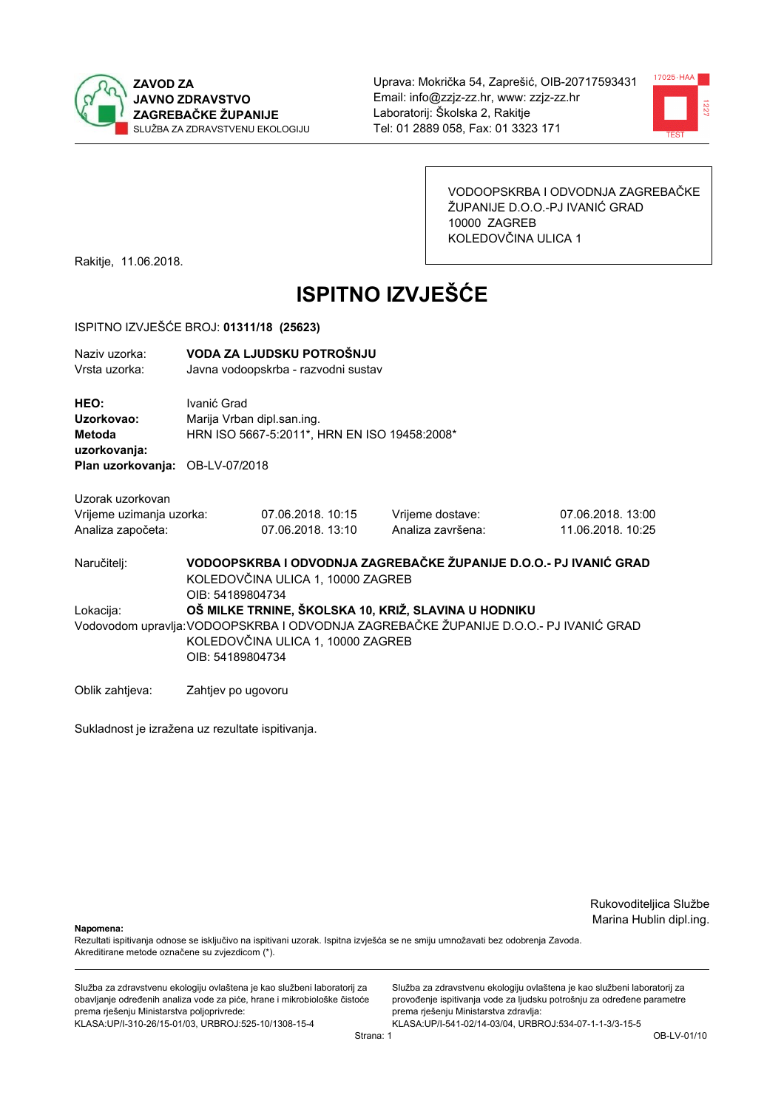



VODOOPSKRBA I ODVODNJA ZAGREBAČKE ŽUPANIJE D.O.O.-PJ IVANIĆ GRAD 10000 ZAGREB KOLEDOVČINA ULICA 1

Rakitje, 11.06.2018.

# **ISPITNO IZVJEŠĆE**

#### ISPITNO IZVJEŠĆE BROJ: 01311/18 (25623)

| Naziy uzorka:<br>Vrsta uzorka:                                                  |                                                                                                                                                | VODA ZA LJUDSKU POTROŠNJU<br>Javna vodoopskrba - razvodni sustav           |                                                                   |                                        |  |
|---------------------------------------------------------------------------------|------------------------------------------------------------------------------------------------------------------------------------------------|----------------------------------------------------------------------------|-------------------------------------------------------------------|----------------------------------------|--|
| HEO:<br>Uzorkovao:<br>Metoda<br>uzorkovanja:<br>Plan uzorkovanja: OB-LV-07/2018 | Ivanić Grad                                                                                                                                    | Marija Vrban dipl.san.ing.<br>HRN ISO 5667-5:2011*, HRN EN ISO 19458:2008* |                                                                   |                                        |  |
|                                                                                 |                                                                                                                                                |                                                                            |                                                                   |                                        |  |
| Uzorak uzorkovan<br>Vrijeme uzimanja uzorka:<br>Analiza započeta:               |                                                                                                                                                | 07.06.2018. 10:15<br>07.06.2018. 13:10                                     | Vrijeme dostave:<br>Analiza završena:                             | 07.06.2018. 13:00<br>11.06.2018. 10:25 |  |
| Naručitelj:                                                                     | OIB: 54189804734                                                                                                                               | KOLEDOVČINA ULICA 1, 10000 ZAGREB                                          | VODOOPSKRBA I ODVODNJA ZAGREBAČKE ŽUPANIJE D.O.O.- PJ IVANIĆ GRAD |                                        |  |
| Lokacija:                                                                       |                                                                                                                                                |                                                                            | OŠ MILKE TRNINE, ŠKOLSKA 10, KRIŽ, SLAVINA U HODNIKU              |                                        |  |
|                                                                                 | Vodovodom upravlja: VODOOPSKRBA I ODVODNJA ZAGREBAČKE ŽUPANIJE D.O.O.- PJ IVANIĆ GRAD<br>KOLEDOVČINA ULICA 1, 10000 ZAGREB<br>OIB: 54189804734 |                                                                            |                                                                   |                                        |  |
| Oblik zahtjeva:                                                                 | Zahtjev po ugovoru                                                                                                                             |                                                                            |                                                                   |                                        |  |

Sukladnost je izražena uz rezultate ispitivanja.

Rukovoditeljica Službe Marina Hublin dipl.ing.

Napomena:

Rezultati ispitivanja odnose se isključivo na ispitivani uzorak. Ispitna izvješća se ne smiju umnožavati bez odobrenja Zavoda. Akreditirane metode označene su zvjezdicom (\*).

Služba za zdravstvenu ekologiju ovlaštena je kao službeni laboratorij za obavljanje određenih analiza vode za piće, hrane i mikrobiološke čistoće prema rješenju Ministarstva poljoprivrede: KLASA.UP/I-310-26/15-01/03, URBROJ:525-10/1308-15-4

Služba za zdravstvenu ekologiju ovlaštena je kao službeni laboratorij za provođenje ispitivanja vode za ljudsku potrošnju za određene parametre prema rješenju Ministarstva zdravlja: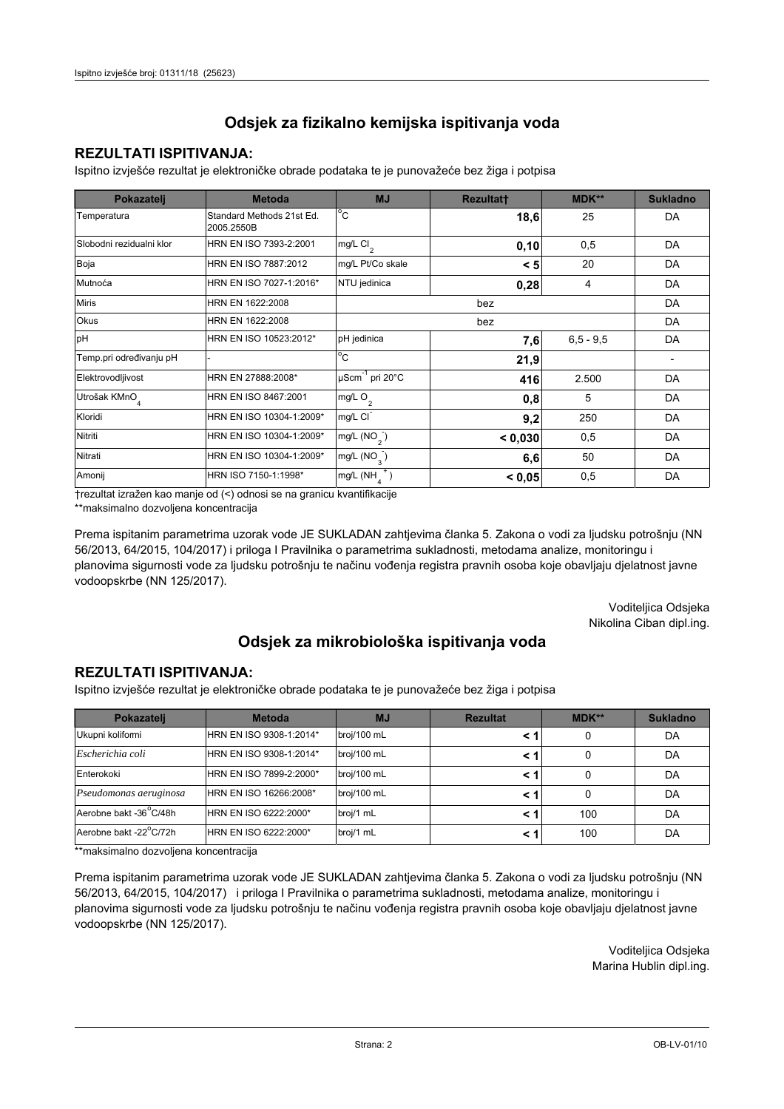### **REZULTATI ISPITIVANJA:**

Ispitno izviešće rezultat je elektroničke obrade podataka te je punovažeće bez žiga i potpisa

| Pokazatelj                | <b>Metoda</b>                           | <b>MJ</b>                   | <b>Rezultatt</b> | <b>MDK**</b> | <b>Sukladno</b> |
|---------------------------|-----------------------------------------|-----------------------------|------------------|--------------|-----------------|
| Temperatura               | Standard Methods 21st Ed.<br>2005.2550B | $^{\circ}$ C                | 18,6             | 25           | DA              |
| Slobodni rezidualni klor  | HRN EN ISO 7393-2:2001                  | $mg/L$ Cl <sub>2</sub>      | 0, 10            | 0,5          | <b>DA</b>       |
| Boja                      | HRN EN ISO 7887:2012                    | mg/L Pt/Co skale            | < 5              | 20           | DA              |
| Mutnoća                   | HRN EN ISO 7027-1:2016*                 | NTU jedinica                | 0,28             | 4            | DA              |
| <b>Miris</b>              | HRN EN 1622:2008                        |                             | DA               |              |                 |
| <b>Okus</b>               | HRN EN 1622:2008                        |                             |                  | DA           |                 |
| pH                        | HRN EN ISO 10523:2012*                  | pH jedinica                 | 7,6              | $6,5 - 9,5$  | <b>DA</b>       |
| Temp.pri određivanju pH   |                                         | $^{\circ}$ C                | 21,9             |              |                 |
| Elektrovodljivost         | HRN EN 27888:2008*                      | µScm <sup>-1</sup> pri 20°C | 416              | 2.500        | DA              |
| Utrošak KMnO <sub>4</sub> | HRN EN ISO 8467:2001                    | mg/L O <sub>2</sub>         | 0,8              | 5            | DA              |
| Kloridi                   | HRN EN ISO 10304-1:2009*                | mg/L CI                     | 9,2              | 250          | DA              |
| Nitriti                   | HRN EN ISO 10304-1:2009*                | mg/L (NO <sub>2</sub> )     | < 0,030          | 0,5          | <b>DA</b>       |
| Nitrati                   | HRN EN ISO 10304-1:2009*                | mg/L $(NO_{\alpha})$        | 6,6              | 50           | DA              |
| Amonij                    | HRN ISO 7150-1:1998*                    | mg/L (NH                    | < 0.05           | 0,5          | DA              |

trezultat izražen kao manje od (<) odnosi se na granicu kvantifikacije

\*\*maksimalno dozvoljena koncentracija

Prema ispitanim parametrima uzorak vode JE SUKLADAN zahtjevima članka 5. Zakona o vodi za ljudsku potrošnju (NN 56/2013, 64/2015, 104/2017) i priloga I Pravilnika o parametrima sukladnosti, metodama analize, monitoringu i planovima sigurnosti vode za ljudsku potrošnju te načinu vođenja registra pravnih osoba koje obavljaju djelatnost javne vodoopskrbe (NN 125/2017).

> Voditeljica Odsjeka Nikolina Ciban dipl.ing.

## Odsjek za mikrobiološka ispitivanja voda

#### **REZULTATI ISPITIVANJA:**

Ispitno izvješće rezultat je elektroničke obrade podataka te je punovažeće bez žiga i potpisa

| Pokazatelj                          | <b>Metoda</b>           | <b>MJ</b>   | <b>Rezultat</b> | MDK** | <b>Sukladno</b> |
|-------------------------------------|-------------------------|-------------|-----------------|-------|-----------------|
| Ukupni kolifomi                     | HRN EN ISO 9308-1:2014* | broj/100 mL |                 | 0     | DA              |
| Escherichia coli                    | HRN EN ISO 9308-1:2014* | broj/100 mL |                 | 0     | DA              |
| Enterokoki                          | HRN EN ISO 7899-2:2000* | broj/100 mL |                 | 0     | DA              |
| Pseudomonas aeruginosa              | HRN EN ISO 16266:2008*  | broj/100 mL | < 1             | 0     | DA              |
| Aerobne bakt -36 <sup>°</sup> C/48h | HRN EN ISO 6222:2000*   | broj/1 mL   |                 | 100   | DA              |
| Aerobne bakt -22°C/72h              | HRN EN ISO 6222:2000*   | broj/1 mL   |                 | 100   | DA              |

\*\*maksimalno dozvoljena koncentracija

Prema ispitanim parametrima uzorak vode JE SUKLADAN zahtjevima članka 5. Zakona o vodi za ljudsku potrošnju (NN 56/2013, 64/2015, 104/2017) i priloga I Pravilnika o parametrima sukladnosti, metodama analize, monitoringu i planovima sigurnosti vode za ljudsku potrošnju te načinu vođenja registra pravnih osoba koje obavljaju djelatnost javne vodoopskrbe (NN 125/2017).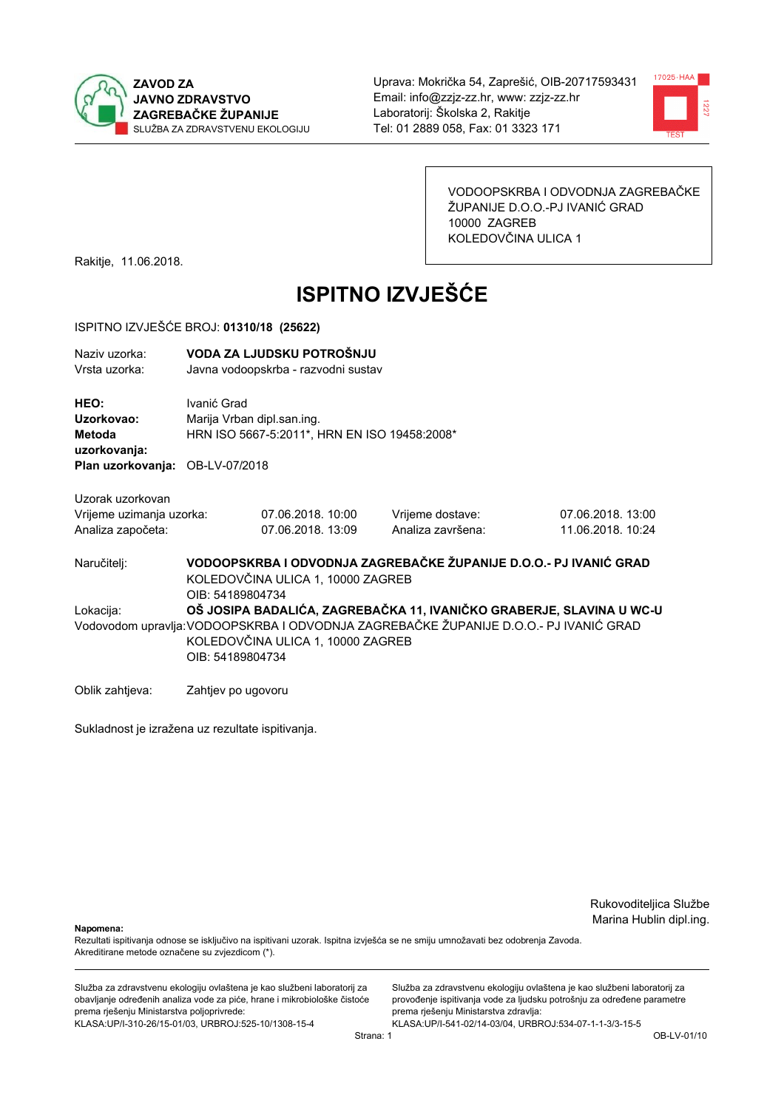



VODOOPSKRBA I ODVODNJA ZAGREBAČKE ŽUPANIJE D.O.O.-PJ IVANIĆ GRAD 10000 ZAGREB KOLEDOVČINA ULICA 1

Rakitje, 11.06.2018.

# **ISPITNO IZVJEŠĆE**

#### ISPITNO IZVJEŠĆE BROJ: 01310/18 (25622)

| Naziv uzorka:<br>Vrsta uzorka:                                    |                                                                                                                                                                                                                        | VODA ZA LJUDSKU POTROŠNJU<br>Javna vodoopskrba - razvodni sustav |                                                                   |                                        |  |
|-------------------------------------------------------------------|------------------------------------------------------------------------------------------------------------------------------------------------------------------------------------------------------------------------|------------------------------------------------------------------|-------------------------------------------------------------------|----------------------------------------|--|
| HEO:<br>Uzorkovao:<br>Metoda<br>uzorkovanja:<br>Plan uzorkovanja: | Ivanić Grad<br>Marija Vrban dipl.san.ing.<br>OB-LV-07/2018                                                                                                                                                             | HRN ISO 5667-5:2011*, HRN EN ISO 19458:2008*                     |                                                                   |                                        |  |
|                                                                   |                                                                                                                                                                                                                        |                                                                  |                                                                   |                                        |  |
| Uzorak uzorkovan<br>Vrijeme uzimanja uzorka:<br>Analiza započeta: |                                                                                                                                                                                                                        | 07.06.2018. 10:00<br>07.06.2018. 13:09                           | Vrijeme dostave:<br>Analiza završena:                             | 07.06.2018. 13:00<br>11.06.2018. 10:24 |  |
| Naručitelj:                                                       | OIB: 54189804734                                                                                                                                                                                                       | KOLEDOVČINA ULICA 1, 10000 ZAGREB                                | VODOOPSKRBA I ODVODNJA ZAGREBAČKE ŽUPANIJE D.O.O.- PJ IVANIĆ GRAD |                                        |  |
| Lokacija:                                                         | OŠ JOSIPA BADALIĆA, ZAGREBAČKA 11, IVANIČKO GRABERJE, SLAVINA U WC-U<br>Vodovodom upravlja: VODOOPSKRBA I ODVODNJA ZAGREBAČKE ŽUPANIJE D.O.O.- PJ IVANIĆ GRAD<br>KOLEDOVČINA ULICA 1, 10000 ZAGREB<br>OIB: 54189804734 |                                                                  |                                                                   |                                        |  |
| Oblik zahtjeva:                                                   | Zahtjev po ugovoru                                                                                                                                                                                                     |                                                                  |                                                                   |                                        |  |

Sukladnost je izražena uz rezultate ispitivanja.

Rukovoditeljica Službe Marina Hublin dipl.ing.

Napomena:

Rezultati ispitivanja odnose se isključivo na ispitivani uzorak. Ispitna izvješća se ne smiju umnožavati bez odobrenja Zavoda. Akreditirane metode označene su zvjezdicom (\*).

Služba za zdravstvenu ekologiju ovlaštena je kao službeni laboratorij za obavljanje određenih analiza vode za piće, hrane i mikrobiološke čistoće prema rješenju Ministarstva poljoprivrede: KLASA.UP/I-310-26/15-01/03, URBROJ:525-10/1308-15-4

Služba za zdravstvenu ekologiju ovlaštena je kao službeni laboratorij za provođenje ispitivanja vode za ljudsku potrošnju za određene parametre prema rješenju Ministarstva zdravlja: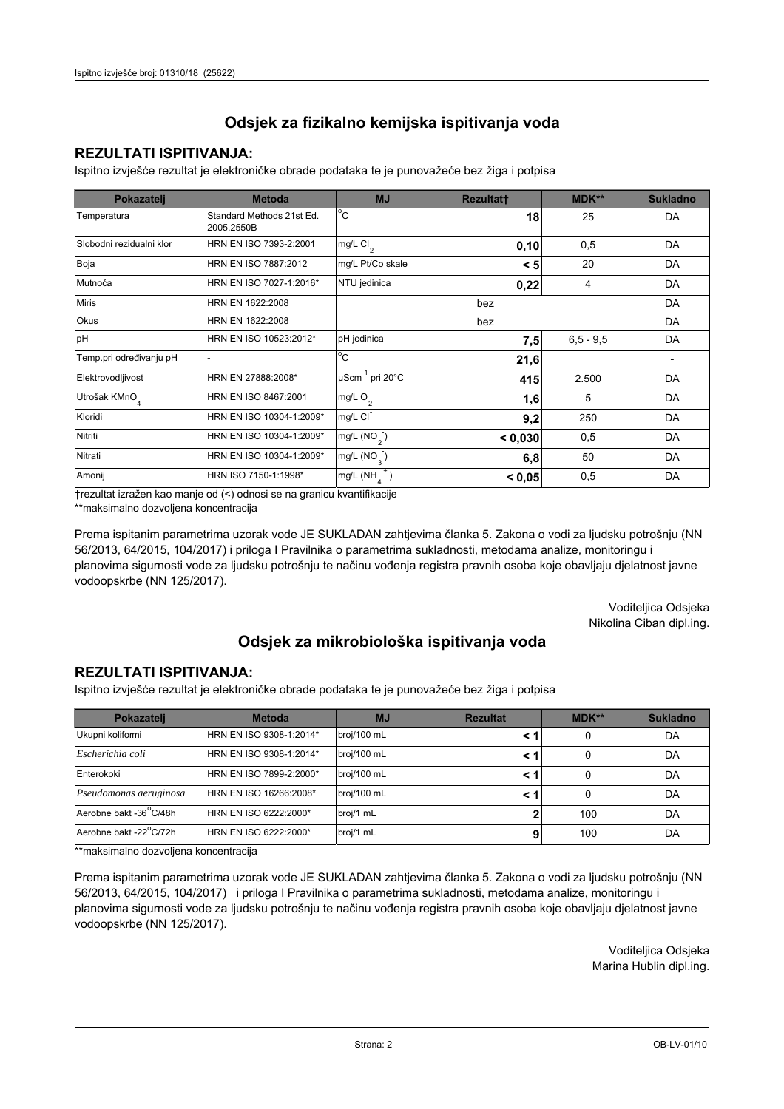### **REZULTATI ISPITIVANJA:**

Ispitno izviešće rezultat je elektroničke obrade podataka te je punovažeće bez žiga i potpisa

| Pokazatelj                | <b>Metoda</b>                           | <b>MJ</b>                   | Rezultatt | <b>MDK**</b>  | <b>Sukladno</b> |
|---------------------------|-----------------------------------------|-----------------------------|-----------|---------------|-----------------|
| Temperatura               | Standard Methods 21st Ed.<br>2005.2550B | $^{\circ}$ C                | 18        | 25            | DA              |
| Slobodni rezidualni klor  | HRN EN ISO 7393-2:2001                  | $mg/L$ Cl <sub>2</sub>      | 0,10      | 0,5           | DA              |
| Boja                      | HRN EN ISO 7887:2012                    | mg/L Pt/Co skale            | < 5       | 20            | DA              |
| Mutnoća                   | HRN EN ISO 7027-1:2016*                 | NTU jedinica                | 0,22      | 4             | DA              |
| <b>Miris</b>              | HRN EN 1622:2008                        |                             |           | DA            |                 |
| Okus                      | HRN EN 1622:2008                        | bez                         |           |               | DA              |
| pH                        | HRN EN ISO 10523:2012*                  | pH jedinica                 | 7,5       | $6, 5 - 9, 5$ | DA              |
| Temp.pri određivanju pH   |                                         | $^{\circ}$ C                | 21,6      |               |                 |
| Elektrovodljivost         | HRN EN 27888:2008*                      | µScm <sup>-1</sup> pri 20°C | 415       | 2.500         | DA              |
| Utrošak KMnO <sub>4</sub> | HRN EN ISO 8467:2001                    | mg/L O <sub>2</sub>         | 1,6       | 5             | DA              |
| Kloridi                   | HRN EN ISO 10304-1:2009*                | mg/L CI                     | 9,2       | 250           | DA              |
| Nitriti                   | HRN EN ISO 10304-1:2009*                | mg/L $(NO2)$                | < 0,030   | 0,5           | DA              |
| Nitrati                   | HRN EN ISO 10304-1:2009*                | mg/L $(NO_{\alpha})$        | 6,8       | 50            | DA              |
| Amonij                    | HRN ISO 7150-1:1998*                    | mg/L (NH                    | < 0.05    | 0,5           | DA              |

trezultat izražen kao manje od (<) odnosi se na granicu kvantifikacije

\*\*maksimalno dozvoljena koncentracija

Prema ispitanim parametrima uzorak vode JE SUKLADAN zahtjevima članka 5. Zakona o vodi za ljudsku potrošnju (NN 56/2013, 64/2015, 104/2017) i priloga I Pravilnika o parametrima sukladnosti, metodama analize, monitoringu i planovima sigurnosti vode za ljudsku potrošnju te načinu vođenja registra pravnih osoba koje obavljaju djelatnost javne vodoopskrbe (NN 125/2017).

> Voditeljica Odsjeka Nikolina Ciban dipl.ing.

## Odsjek za mikrobiološka ispitivanja voda

#### **REZULTATI ISPITIVANJA:**

Ispitno izvješće rezultat je elektroničke obrade podataka te je punovažeće bez žiga i potpisa

| Pokazatelj                          | <b>Metoda</b>           | <b>MJ</b>   | <b>Rezultat</b> | MDK** | <b>Sukladno</b> |
|-------------------------------------|-------------------------|-------------|-----------------|-------|-----------------|
| Ukupni kolifomi                     | HRN EN ISO 9308-1:2014* | broj/100 mL |                 | 0     | DA              |
| Escherichia coli                    | HRN EN ISO 9308-1:2014* | broj/100 mL |                 | 0     | DA              |
| Enterokoki                          | HRN EN ISO 7899-2:2000* | broj/100 mL |                 | 0     | DA              |
| Pseudomonas aeruginosa              | HRN EN ISO 16266:2008*  | broj/100 mL | < 1             | 0     | DA              |
| Aerobne bakt -36 <sup>°</sup> C/48h | HRN EN ISO 6222:2000*   | broj/1 mL   |                 | 100   | DA              |
| Aerobne bakt -22°C/72h              | HRN EN ISO 6222:2000*   | broj/1 mL   |                 | 100   | DA              |

\*\*maksimalno dozvoljena koncentracija

Prema ispitanim parametrima uzorak vode JE SUKLADAN zahtjevima članka 5. Zakona o vodi za ljudsku potrošnju (NN 56/2013, 64/2015, 104/2017) i priloga I Pravilnika o parametrima sukladnosti, metodama analize, monitoringu i planovima sigurnosti vode za ljudsku potrošnju te načinu vođenja registra pravnih osoba koje obavljaju djelatnost javne vodoopskrbe (NN 125/2017).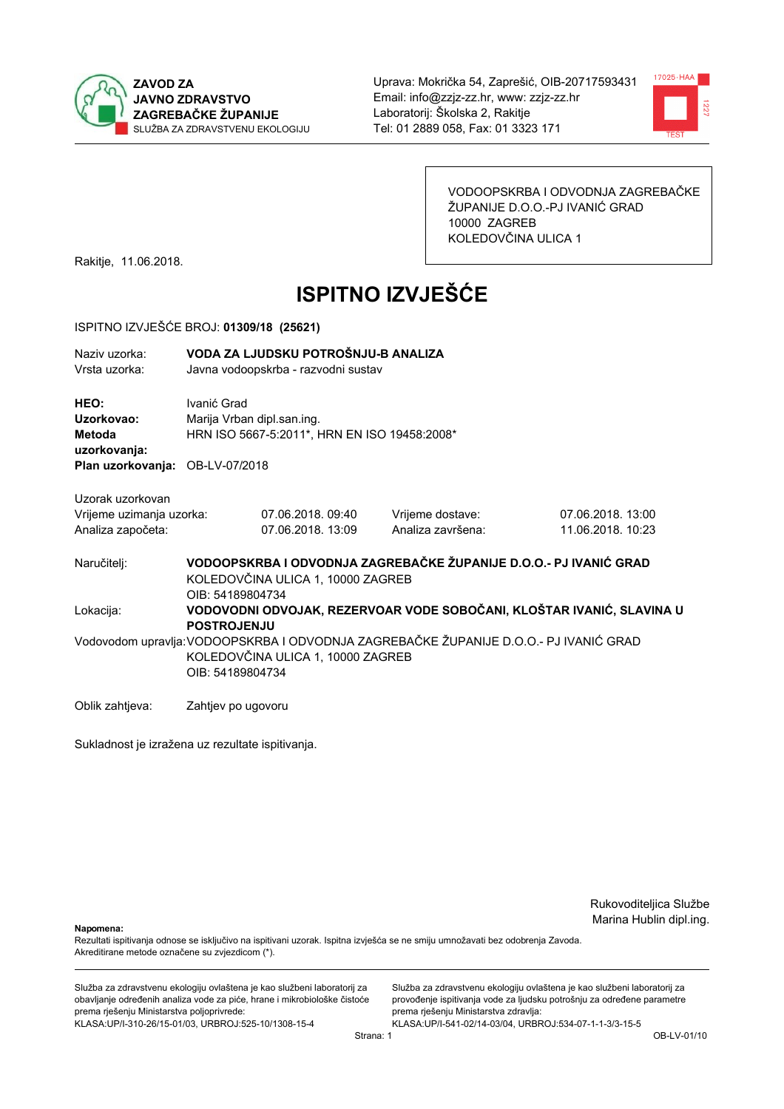



VODOOPSKRBA I ODVODNJA ZAGREBAČKE ŽUPANIJE D.O.O.-PJ IVANIĆ GRAD 10000 ZAGREB KOLEDOVČINA ULICA 1

Rakitje, 11.06.2018.

# **ISPITNO IZVJEŠĆE**

#### ISPITNO IZVJEŠĆE BROJ: 01309/18 (25621)

| Naziv uzorka:<br>Vrsta uzorka:                                                  | VODA ZA LJUDSKU POTROŠNJU-B ANALIZA<br>Javna vodoopskrba - razvodni sustav |                                                                            |  |                   |                                                                                       |
|---------------------------------------------------------------------------------|----------------------------------------------------------------------------|----------------------------------------------------------------------------|--|-------------------|---------------------------------------------------------------------------------------|
| HEO:<br>Uzorkovao:<br>Metoda<br>uzorkovanja:<br>Plan uzorkovanja: OB-LV-07/2018 | Ivanić Grad                                                                | Marija Vrban dipl.san.ing.<br>HRN ISO 5667-5:2011*, HRN EN ISO 19458:2008* |  |                   |                                                                                       |
|                                                                                 |                                                                            |                                                                            |  |                   |                                                                                       |
| Uzorak uzorkovan                                                                |                                                                            |                                                                            |  |                   |                                                                                       |
| Vrijeme uzimanja uzorka:                                                        |                                                                            | 07.06.2018.09:40                                                           |  | Vrijeme dostave:  | 07.06.2018.13:00                                                                      |
| Analiza započeta:                                                               |                                                                            | 07.06.2018. 13:09                                                          |  | Analiza završena: | 11.06.2018. 10:23                                                                     |
| Naručitelj:                                                                     | KOLEDOVČINA ULICA 1, 10000 ZAGREB<br>OIB: 54189804734                      |                                                                            |  |                   | VODOOPSKRBA I ODVODNJA ZAGREBAČKE ŽUPANIJE D.O.O.- PJ IVANIĆ GRAD                     |
| Lokacija:                                                                       | <b>POSTROJENJU</b>                                                         |                                                                            |  |                   | VODOVODNI ODVOJAK, REZERVOAR VODE SOBOČANI, KLOŠTAR IVANIĆ, SLAVINA U                 |
|                                                                                 | KOLEDOVČINA ULICA 1, 10000 ZAGREB<br>OIB: 54189804734                      |                                                                            |  |                   | Vodovodom upravlja: VODOOPSKRBA I ODVODNJA ZAGREBAČKE ŽUPANIJE D.O.O.- PJ IVANIĆ GRAD |
| Oblik zahtjeva:                                                                 | Zahtjev po ugovoru                                                         |                                                                            |  |                   |                                                                                       |

Sukladnost je izražena uz rezultate ispitivanja.

Rukovoditeljica Službe Marina Hublin dipl.ing.

Napomena:

Rezultati ispitivanja odnose se isključivo na ispitivani uzorak. Ispitna izvješća se ne smiju umnožavati bez odobrenja Zavoda. Akreditirane metode označene su zvjezdicom (\*).

Služba za zdravstvenu ekologiju ovlaštena je kao službeni laboratorij za obavljanje određenih analiza vode za piće, hrane i mikrobiološke čistoće prema rješenju Ministarstva poljoprivrede: KLASA.UP/I-310-26/15-01/03, URBROJ:525-10/1308-15-4

Služba za zdravstvenu ekologiju ovlaštena je kao službeni laboratorij za provođenje ispitivanja vode za ljudsku potrošnju za određene parametre prema rješenju Ministarstva zdravlja: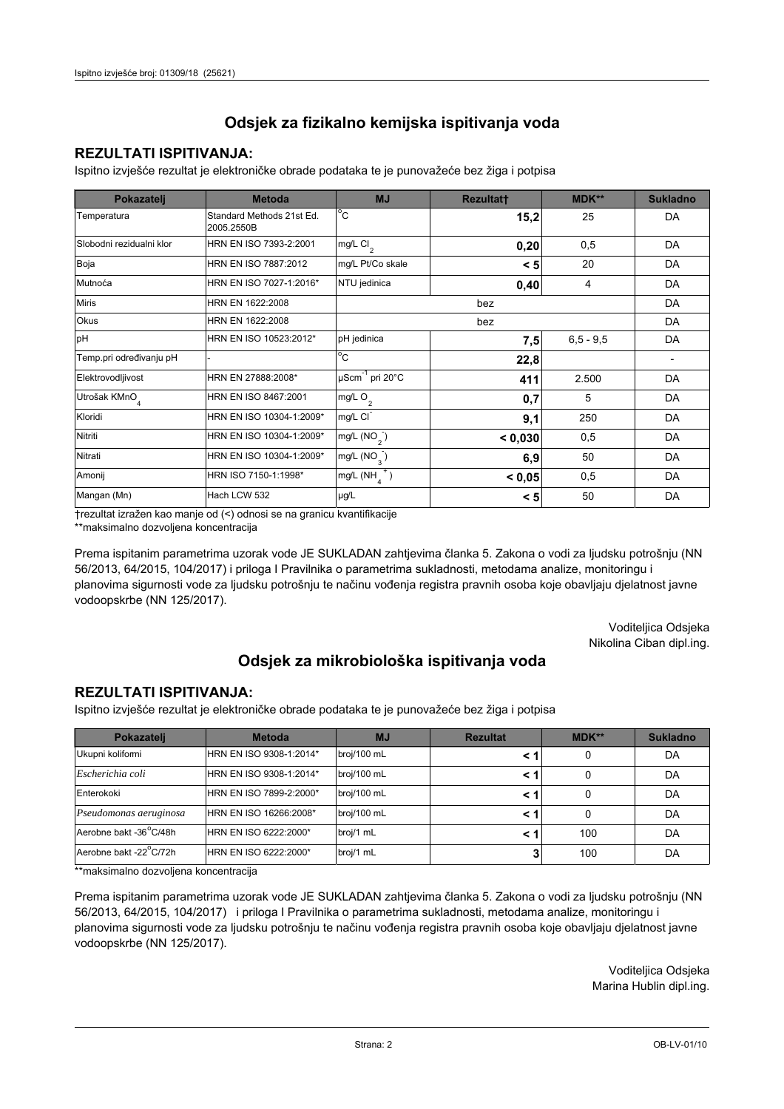### **REZULTATI ISPITIVANJA:**

Ispitno izviešće rezultat je elektroničke obrade podataka te je punovažeće bez žiga i potpisa

| Pokazatelj               | <b>Metoda</b>                           | <b>MJ</b>                  | <b>Rezultatt</b> | <b>MDK**</b>  | <b>Sukladno</b>          |
|--------------------------|-----------------------------------------|----------------------------|------------------|---------------|--------------------------|
| Temperatura              | Standard Methods 21st Ed.<br>2005.2550B | $^{\circ}$ C               | 15,2             | 25            | DA                       |
| Slobodni rezidualni klor | HRN EN ISO 7393-2:2001                  | $mg/L$ Cl <sub>2</sub>     | 0,20             | 0,5           | DA                       |
| Boja                     | HRN EN ISO 7887:2012                    | mg/L Pt/Co skale           | < 5              | 20            | DA                       |
| Mutnoća                  | HRN EN ISO 7027-1:2016*                 | NTU jedinica               | 0,40             | 4             | DA                       |
| <b>Miris</b>             | HRN EN 1622:2008                        |                            | bez              |               | DA                       |
| Okus                     | HRN EN 1622:2008                        |                            |                  | DA            |                          |
| pH                       | HRN EN ISO 10523:2012*                  | pH jedinica                | 7,5              | $6, 5 - 9, 5$ | DA                       |
| Temp.pri određivanju pH  |                                         | $^{\circ}$ C               | 22,8             |               | $\overline{\phantom{a}}$ |
| Elektrovodljivost        | HRN EN 27888:2008*                      | $\mu$ Scm $^{-1}$ pri 20°C | 411              | 2.500         | DA                       |
| Utrošak KMnO             | HRN EN ISO 8467:2001                    | mg/L $O2$                  | 0,7              | 5             | DA                       |
| Kloridi                  | HRN EN ISO 10304-1:2009*                | mg/L CI                    | 9,1              | 250           | DA                       |
| Nitriti                  | HRN EN ISO 10304-1:2009*                | mg/L $(NO2)$               | < 0,030          | 0,5           | DA                       |
| Nitrati                  | HRN EN ISO 10304-1:2009*                | mg/L $(NO_{3})$            | 6,9              | 50            | DA                       |
| Amonij                   | HRN ISO 7150-1:1998*                    | $mg/L(NH_4^+)$             | < 0,05           | 0,5           | DA                       |
| Mangan (Mn)              | Hach LCW 532                            | µg/L                       | < 5              | 50            | DA                       |

trezultat izražen kao manje od (<) odnosi se na granicu kvantifikacije

\*\*maksimalno dozvoljena koncentracija

Prema ispitanim parametrima uzorak vode JE SUKLADAN zahtjevima članka 5. Zakona o vodi za ljudsku potrošnju (NN 56/2013, 64/2015, 104/2017) i priloga I Pravilnika o parametrima sukladnosti, metodama analize, monitoringu i planovima sigurnosti vode za ljudsku potrošnju te načinu vođenja registra pravnih osoba koje obavljaju djelatnost javne vodoopskrbe (NN 125/2017).

> Voditeljica Odsjeka Nikolina Ciban dipl.ing.

## Odsjek za mikrobiološka ispitivanja voda

#### **REZULTATI ISPITIVANJA:**

Ispitno izvješće rezultat je elektroničke obrade podataka te je punovažeće bez žiga i potpisa

| Pokazatelj                          | <b>Metoda</b>           | <b>MJ</b>   | <b>Rezultat</b> | MDK** | <b>Sukladno</b> |
|-------------------------------------|-------------------------|-------------|-----------------|-------|-----------------|
| Ukupni kolifomi                     | HRN EN ISO 9308-1:2014* | broj/100 mL |                 |       | DA              |
| Escherichia coli                    | HRN EN ISO 9308-1:2014* | broj/100 mL |                 |       | DA              |
| Enterokoki                          | HRN EN ISO 7899-2:2000* | broj/100 mL |                 |       | DA              |
| Pseudomonas aeruginosa              | HRN EN ISO 16266:2008*  | broj/100 mL |                 |       | DA              |
| Aerobne bakt -36 <sup>°</sup> C/48h | HRN EN ISO 6222:2000*   | broj/1 mL   |                 | 100   | DA              |
| Aerobne bakt -22°C/72h              | HRN EN ISO 6222:2000*   | broj/1 mL   | 3               | 100   | DA              |

\*\*maksimalno dozvoljena koncentracija

Prema ispitanim parametrima uzorak vode JE SUKLADAN zahtjevima članka 5. Zakona o vodi za ljudsku potrošnju (NN 56/2013, 64/2015, 104/2017) i priloga I Pravilnika o parametrima sukladnosti, metodama analize, monitoringu i planovima sigurnosti vode za ljudsku potrošnju te načinu vođenja registra pravnih osoba koje obavljaju djelatnost javne vodoopskrbe (NN 125/2017).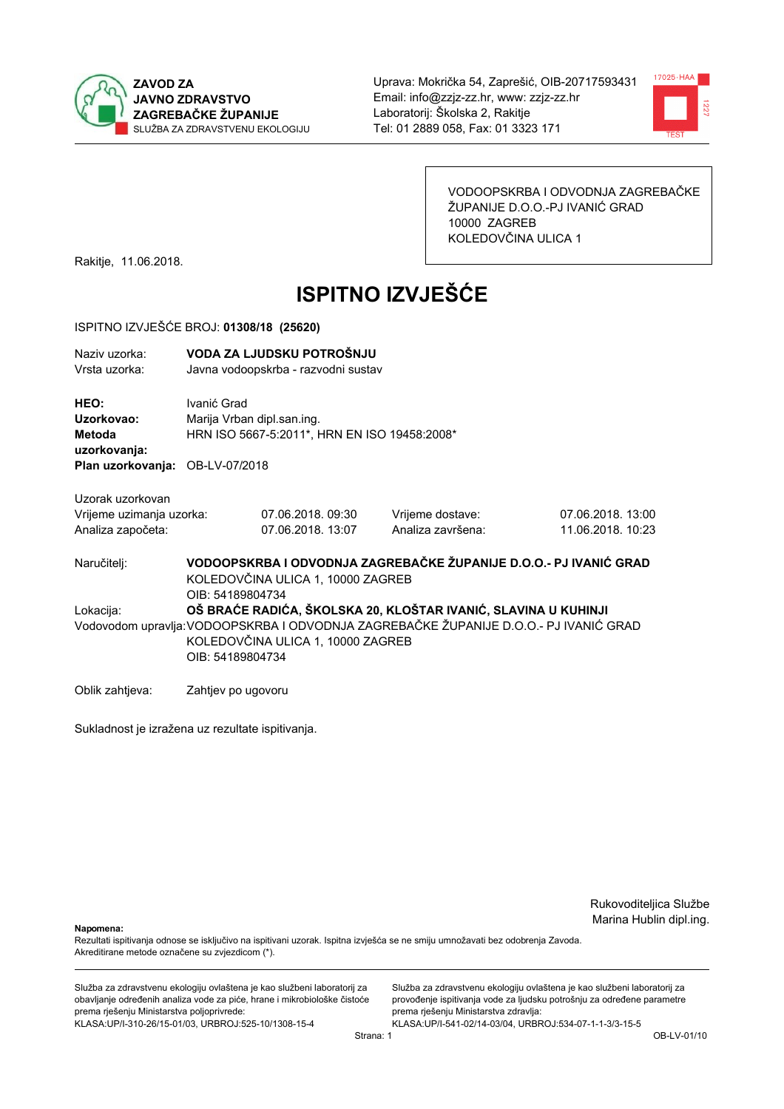



VODOOPSKRBA I ODVODNJA ZAGREBAČKE ŽUPANIJE D.O.O.-PJ IVANIĆ GRAD 10000 ZAGREB KOLEDOVČINA ULICA 1

Rakitje, 11.06.2018.

# **ISPITNO IZVJEŠĆE**

#### ISPITNO IZVJEŠĆE BROJ: 01308/18 (25620)

| Naziy uzorka:<br>Vrsta uzorka:                                                  | VODA ZA LJUDSKU POTROŠNJU<br>Javna vodoopskrba - razvodni sustav                                                                                                                                                 |                                       |                                       |                                       |
|---------------------------------------------------------------------------------|------------------------------------------------------------------------------------------------------------------------------------------------------------------------------------------------------------------|---------------------------------------|---------------------------------------|---------------------------------------|
| HEO:<br>Uzorkovao:<br>Metoda<br>uzorkovanja:<br>Plan uzorkovanja: OB-LV-07/2018 | Ivanić Grad<br>Marija Vrban dipl.san.ing.<br>HRN ISO 5667-5:2011*, HRN EN ISO 19458:2008*                                                                                                                        |                                       |                                       |                                       |
| Uzorak uzorkovan<br>Vrijeme uzimanja uzorka:<br>Analiza započeta:               |                                                                                                                                                                                                                  | 07.06.2018.09:30<br>07.06.2018. 13:07 | Vrijeme dostave:<br>Analiza završena: | 07.06.2018.13:00<br>11.06.2018. 10:23 |
| Naručitelj:                                                                     | VODOOPSKRBA I ODVODNJA ZAGREBAČKE ŽUPANIJE D.O.O.- PJ IVANIĆ GRAD<br>KOLEDOVČINA ULICA 1, 10000 ZAGREB<br>OIB: 54189804734                                                                                       |                                       |                                       |                                       |
| Lokacija:                                                                       | OŠ BRAĆE RADIĆA, ŠKOLSKA 20, KLOŠTAR IVANIĆ, SLAVINA U KUHINJI<br>Vodovodom upravlja: VODOOPSKRBA I ODVODNJA ZAGREBAČKE ŽUPANIJE D.O.O.- PJ IVANIĆ GRAD<br>KOLEDOVČINA ULICA 1, 10000 ZAGREB<br>OIB: 54189804734 |                                       |                                       |                                       |
| Oblik zahtjeva:                                                                 | Zahtjev po ugovoru                                                                                                                                                                                               |                                       |                                       |                                       |

Sukladnost je izražena uz rezultate ispitivanja.

Rukovoditeljica Službe Marina Hublin dipl.ing.

Napomena:

Rezultati ispitivanja odnose se isključivo na ispitivani uzorak. Ispitna izvješća se ne smiju umnožavati bez odobrenja Zavoda. Akreditirane metode označene su zvjezdicom (\*).

Služba za zdravstvenu ekologiju ovlaštena je kao službeni laboratorij za obavljanje određenih analiza vode za piće, hrane i mikrobiološke čistoće prema rješenju Ministarstva poljoprivrede: KLASA.UP/I-310-26/15-01/03, URBROJ:525-10/1308-15-4

Služba za zdravstvenu ekologiju ovlaštena je kao službeni laboratorij za provođenje ispitivanja vode za ljudsku potrošnju za određene parametre prema rješenju Ministarstva zdravlja: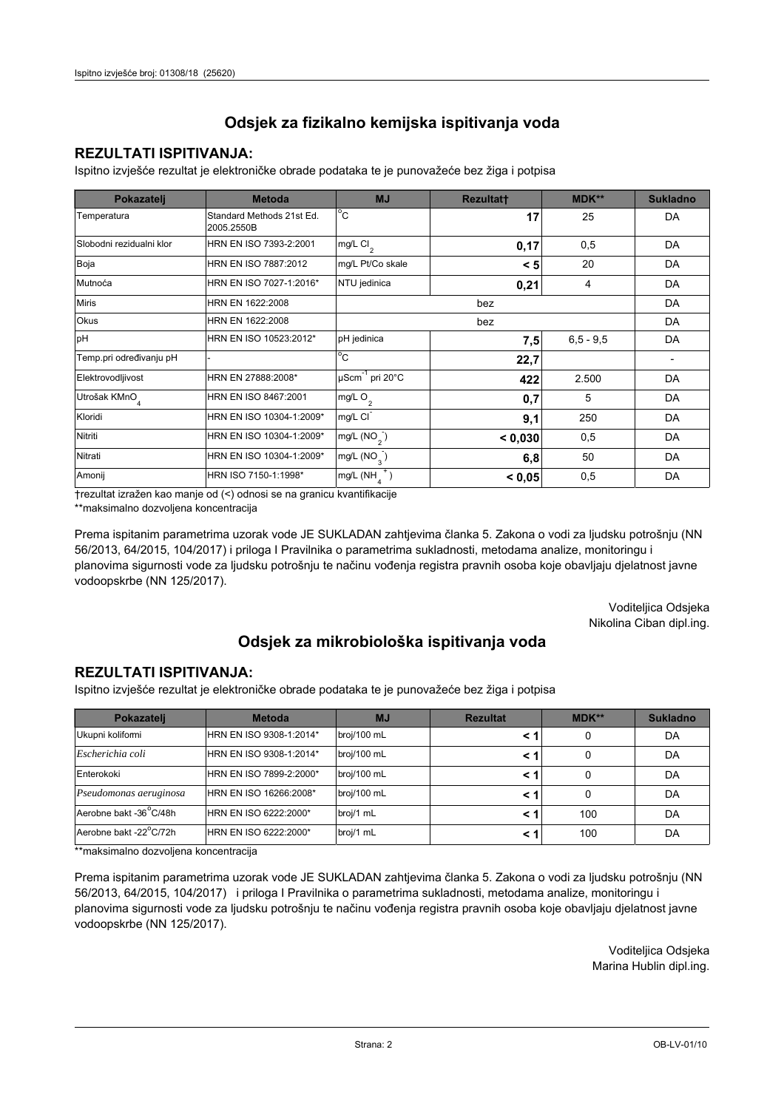### **REZULTATI ISPITIVANJA:**

Ispitno izviešće rezultat je elektroničke obrade podataka te je punovažeće bez žiga i potpisa

| Pokazatelj                | <b>Metoda</b>                           | <b>MJ</b>                   | <b>Rezultatt</b> | <b>MDK**</b> | <b>Sukladno</b> |
|---------------------------|-----------------------------------------|-----------------------------|------------------|--------------|-----------------|
| Temperatura               | Standard Methods 21st Ed.<br>2005.2550B | $^{\circ}$ C                | 17               | 25           | DA              |
| Slobodni rezidualni klor  | HRN EN ISO 7393-2:2001                  | $mg/L$ Cl <sub>2</sub>      | 0,17             | 0,5          | DA              |
| Boja                      | HRN EN ISO 7887:2012                    | mg/L Pt/Co skale            | < 5              | 20           | DA              |
| Mutnoća                   | HRN EN ISO 7027-1:2016*                 | NTU jedinica                | 0,21             | 4            | DA              |
| <b>Miris</b>              | HRN EN 1622:2008                        |                             | DA               |              |                 |
| <b>Okus</b>               | HRN EN 1622:2008                        |                             |                  | DA           |                 |
| pH                        | HRN EN ISO 10523:2012*                  | pH jedinica                 | 7,5              | $6.5 - 9.5$  | DA              |
| Temp.pri određivanju pH   |                                         | $^{\circ}$ C                | 22,7             |              |                 |
| Elektrovodljivost         | HRN EN 27888:2008*                      | µScm <sup>-1</sup> pri 20°C | 422              | 2.500        | DA              |
| Utrošak KMnO <sub>4</sub> | HRN EN ISO 8467:2001                    | mg/L O <sub>2</sub>         | 0,7              | 5            | DA              |
| Kloridi                   | HRN EN ISO 10304-1:2009*                | mg/L CI                     | 9,1              | 250          | DA              |
| Nitriti                   | HRN EN ISO 10304-1:2009*                | mg/L (NO <sub>2</sub> )     | < 0,030          | 0,5          | DA              |
| Nitrati                   | HRN EN ISO 10304-1:2009*                | mg/L $(NO_{\alpha})$        | 6,8              | 50           | DA              |
| Amonij                    | HRN ISO 7150-1:1998*                    | mg/L (NH                    | < 0.05           | 0,5          | DA              |

trezultat izražen kao manje od (<) odnosi se na granicu kvantifikacije

\*\*maksimalno dozvoljena koncentracija

Prema ispitanim parametrima uzorak vode JE SUKLADAN zahtjevima članka 5. Zakona o vodi za ljudsku potrošnju (NN 56/2013, 64/2015, 104/2017) i priloga I Pravilnika o parametrima sukladnosti, metodama analize, monitoringu i planovima sigurnosti vode za ljudsku potrošnju te načinu vođenja registra pravnih osoba koje obavljaju djelatnost javne vodoopskrbe (NN 125/2017).

> Voditeljica Odsjeka Nikolina Ciban dipl.ing.

## Odsjek za mikrobiološka ispitivanja voda

#### **REZULTATI ISPITIVANJA:**

Ispitno izvješće rezultat je elektroničke obrade podataka te je punovažeće bez žiga i potpisa

| Pokazatelj                          | <b>Metoda</b>           | <b>MJ</b>   | <b>Rezultat</b> | MDK** | <b>Sukladno</b> |
|-------------------------------------|-------------------------|-------------|-----------------|-------|-----------------|
| Ukupni kolifomi                     | HRN EN ISO 9308-1:2014* | broj/100 mL |                 | 0     | DA              |
| Escherichia coli                    | HRN EN ISO 9308-1:2014* | broj/100 mL | < 1             | 0     | DA              |
| Enterokoki                          | HRN EN ISO 7899-2:2000* | broj/100 mL | < '             | 0     | DA              |
| Pseudomonas aeruginosa              | HRN EN ISO 16266:2008*  | broj/100 mL | < 1             | 0     | DA              |
| Aerobne bakt -36 <sup>°</sup> C/48h | HRN EN ISO 6222:2000*   | broj/1 mL   | < '             | 100   | DA              |
| Aerobne bakt -22°C/72h              | HRN EN ISO 6222:2000*   | broj/1 mL   | < 1             | 100   | DA              |

\*\*maksimalno dozvoljena koncentracija

Prema ispitanim parametrima uzorak vode JE SUKLADAN zahtjevima članka 5. Zakona o vodi za ljudsku potrošnju (NN 56/2013, 64/2015, 104/2017) i priloga I Pravilnika o parametrima sukladnosti, metodama analize, monitoringu i planovima sigurnosti vode za ljudsku potrošnju te načinu vođenja registra pravnih osoba koje obavljaju djelatnost javne vodoopskrbe (NN 125/2017).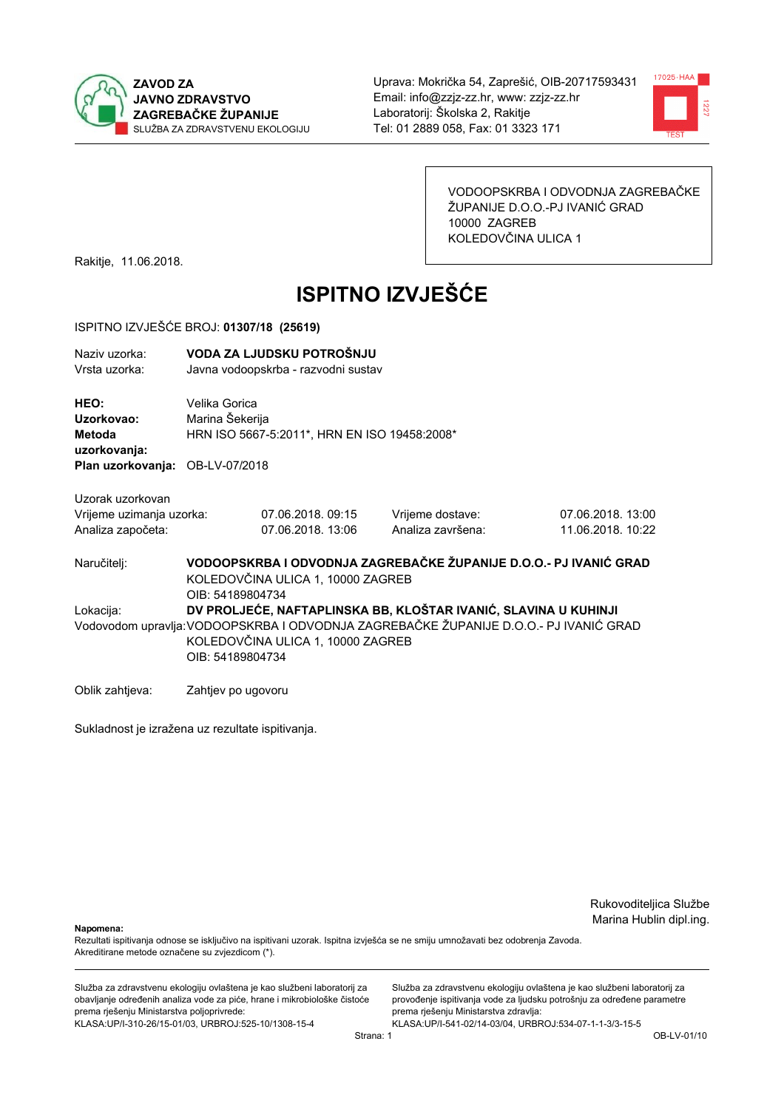



VODOOPSKRBA I ODVODNJA ZAGREBAČKE ŽUPANIJE D.O.O.-PJ IVANIĆ GRAD 10000 ZAGREB KOLEDOVČINA ULICA 1

Rakitje, 11.06.2018.

# **ISPITNO IZVJEŠĆE**

#### ISPITNO IZVJEŠĆE BROJ: 01307/18 (25619)

| Naziv uzorka: | VODA ZA LJUDSKU POTROŠNJU           |
|---------------|-------------------------------------|
| Vrsta uzorka: | Javna vodoopskrba - razvodni sustav |

HEO: Velika Gorica Uzorkovao: Marina Šekerija Metoda HRN ISO 5667-5:2011\*, HRN EN ISO 19458:2008\* uzorkovanja: Plan uzorkovanja: OB-LV-07/2018

Uzorak uzorkovan Vrijeme uzimanja uzorka:

07.06.2018.09:15 Analiza započeta: 07.06.2018. 13:06 Vrijeme dostave: Analiza završena: 07.06.2018.13:00 11.06.2018 10:22

VODOOPSKRBA I ODVODNJA ZAGREBAČKE ŽUPANIJE D.O.O.- PJ IVANIĆ GRAD Naručitelj: KOLEDOVČINA ULICA 1, 10000 ZAGREB OIB: 54189804734 Lokacija: DV PROLJEĆE, NAFTAPLINSKA BB. KLOŠTAR IVANIĆ, SLAVINA U KUHINJI Vodovodom upravlja: VODOOPSKRBA I ODVODNJA ZAGREBAČKE ŽUPANIJE D.O.O.- PJ IVANIĆ GRAD KOLEDOVČINA ULICA 1, 10000 ZAGREB OIB: 54189804734

Oblik zahtjeva: Zahtjev po ugovoru

Sukladnost je izražena uz rezultate ispitivanja.

Rukovoditeljica Službe Marina Hublin dipl.ing.

Nanomena:

Rezultati ispitivanja odnose se isključivo na ispitivani uzorak. Ispitna izvješća se ne smiju umnožavati bez odobrenja Zavoda. Akreditirane metode označene su zvjezdicom (\*).

Služba za zdravstvenu ekologiju ovlaštena je kao službeni laboratorij za obavljanje određenih analiza vode za piće, hrane i mikrobiološke čistoće prema rješenju Ministarstva poljoprivrede: KLASA.UP/I-310-26/15-01/03, URBROJ:525-10/1308-15-4

Služba za zdravstvenu ekologiju ovlaštena je kao službeni laboratorij za provođenje ispitivanja vode za ljudsku potrošnju za određene parametre prema rješenju Ministarstva zdravlja: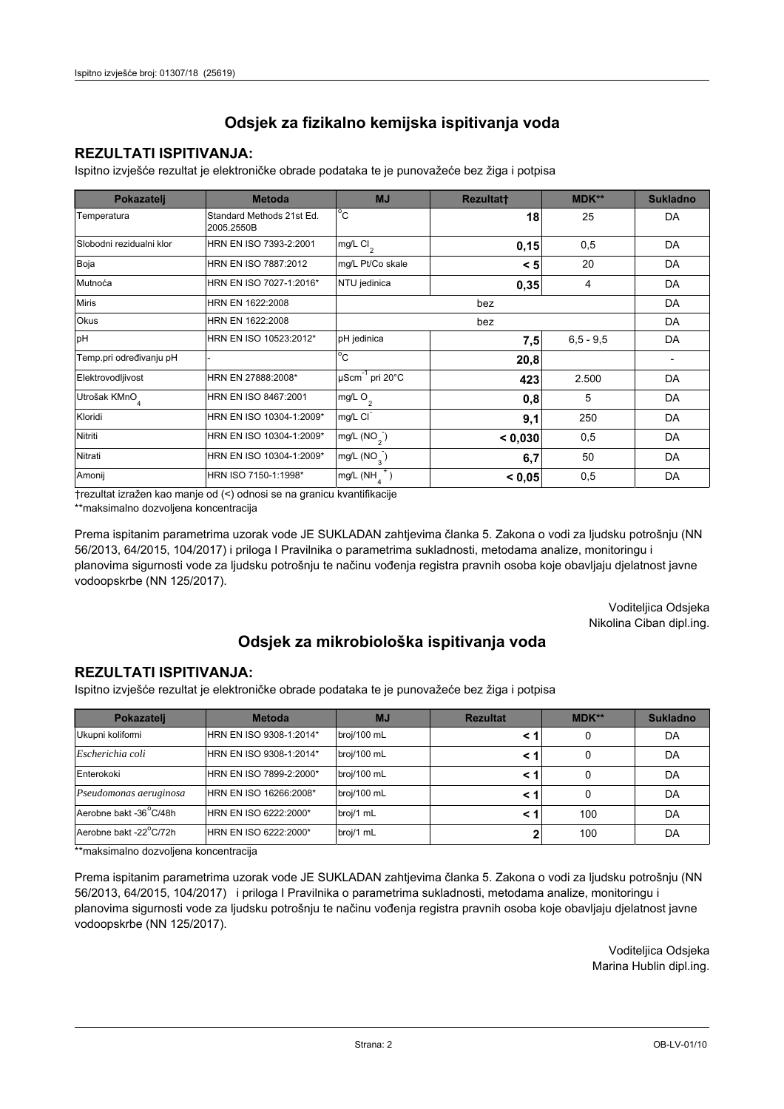### **REZULTATI ISPITIVANJA:**

Ispitno izviešće rezultat je elektroničke obrade podataka te je punovažeće bez žiga i potpisa

| Pokazatelj                | <b>Metoda</b>                           | <b>MJ</b>                   | <b>Rezultatt</b> | <b>MDK**</b> | <b>Sukladno</b> |
|---------------------------|-----------------------------------------|-----------------------------|------------------|--------------|-----------------|
| Temperatura               | Standard Methods 21st Ed.<br>2005.2550B | $^{\circ}$ C                | 18               | 25           | DA              |
| Slobodni rezidualni klor  | HRN EN ISO 7393-2:2001                  | mg/L Cl <sub>2</sub>        | 0,15             | 0,5          | DA              |
| Boja                      | HRN EN ISO 7887:2012                    | mg/L Pt/Co skale            | < 5              | 20           | DA              |
| Mutnoća                   | HRN EN ISO 7027-1:2016*                 | NTU jedinica                | 0,35             | 4            | DA              |
| <b>Miris</b>              | HRN EN 1622:2008                        |                             | DA               |              |                 |
| <b>Okus</b>               | HRN EN 1622:2008                        |                             |                  | DA           |                 |
| pH                        | HRN EN ISO 10523:2012*                  | pH jedinica                 | 7,5              | $6.5 - 9.5$  | DA              |
| Temp.pri određivanju pH   |                                         | $^{\circ}$ C                | 20,8             |              |                 |
| Elektrovodljivost         | HRN EN 27888:2008*                      | µScm <sup>-1</sup> pri 20°C | 423              | 2.500        | DA              |
| Utrošak KMnO <sub>4</sub> | HRN EN ISO 8467:2001                    | mg/L O <sub>2</sub>         | 0,8              | 5            | DA              |
| Kloridi                   | HRN EN ISO 10304-1:2009*                | mg/L CI                     | 9,1              | 250          | DA              |
| Nitriti                   | HRN EN ISO 10304-1:2009*                | mg/L (NO <sub>2</sub> )     | < 0,030          | 0,5          | DA              |
| Nitrati                   | HRN EN ISO 10304-1:2009*                | mg/L $(NO_{\alpha})$        | 6,7              | 50           | DA              |
| Amonij                    | HRN ISO 7150-1:1998*                    | mg/L (NH                    | < 0.05           | 0,5          | DA              |

trezultat izražen kao manje od (<) odnosi se na granicu kvantifikacije

\*\*maksimalno dozvoljena koncentracija

Prema ispitanim parametrima uzorak vode JE SUKLADAN zahtjevima članka 5. Zakona o vodi za ljudsku potrošnju (NN 56/2013, 64/2015, 104/2017) i priloga I Pravilnika o parametrima sukladnosti, metodama analize, monitoringu i planovima sigurnosti vode za ljudsku potrošnju te načinu vođenja registra pravnih osoba koje obavljaju djelatnost javne vodoopskrbe (NN 125/2017).

> Voditeljica Odsjeka Nikolina Ciban dipl.ing.

## Odsjek za mikrobiološka ispitivanja voda

#### **REZULTATI ISPITIVANJA:**

Ispitno izvješće rezultat je elektroničke obrade podataka te je punovažeće bez žiga i potpisa

| Pokazatelj                          | <b>Metoda</b>           | <b>MJ</b>   | <b>Rezultat</b> | <b>MDK**</b> | <b>Sukladno</b> |
|-------------------------------------|-------------------------|-------------|-----------------|--------------|-----------------|
| Ukupni kolifomi                     | HRN EN ISO 9308-1:2014* | broj/100 mL |                 | 0            | DA              |
| Escherichia coli                    | HRN EN ISO 9308-1:2014* | broj/100 mL |                 | 0            | DA              |
| Enterokoki                          | HRN EN ISO 7899-2:2000* | broj/100 mL | < 1             | 0            | DA              |
| Pseudomonas aeruginosa              | HRN EN ISO 16266:2008*  | broj/100 mL |                 | 0            | DA              |
| Aerobne bakt -36 <sup>°</sup> C/48h | HRN EN ISO 6222:2000*   | broj/1 mL   |                 | 100          | DA              |
| Aerobne bakt -22°C/72h              | HRN EN ISO 6222:2000*   | broj/1 mL   |                 | 100          | DA              |

\*\*maksimalno dozvoljena koncentracija

Prema ispitanim parametrima uzorak vode JE SUKLADAN zahtjevima članka 5. Zakona o vodi za ljudsku potrošnju (NN 56/2013, 64/2015, 104/2017) i priloga I Pravilnika o parametrima sukladnosti, metodama analize, monitoringu i planovima sigurnosti vode za ljudsku potrošnju te načinu vođenja registra pravnih osoba koje obavljaju djelatnost javne vodoopskrbe (NN 125/2017).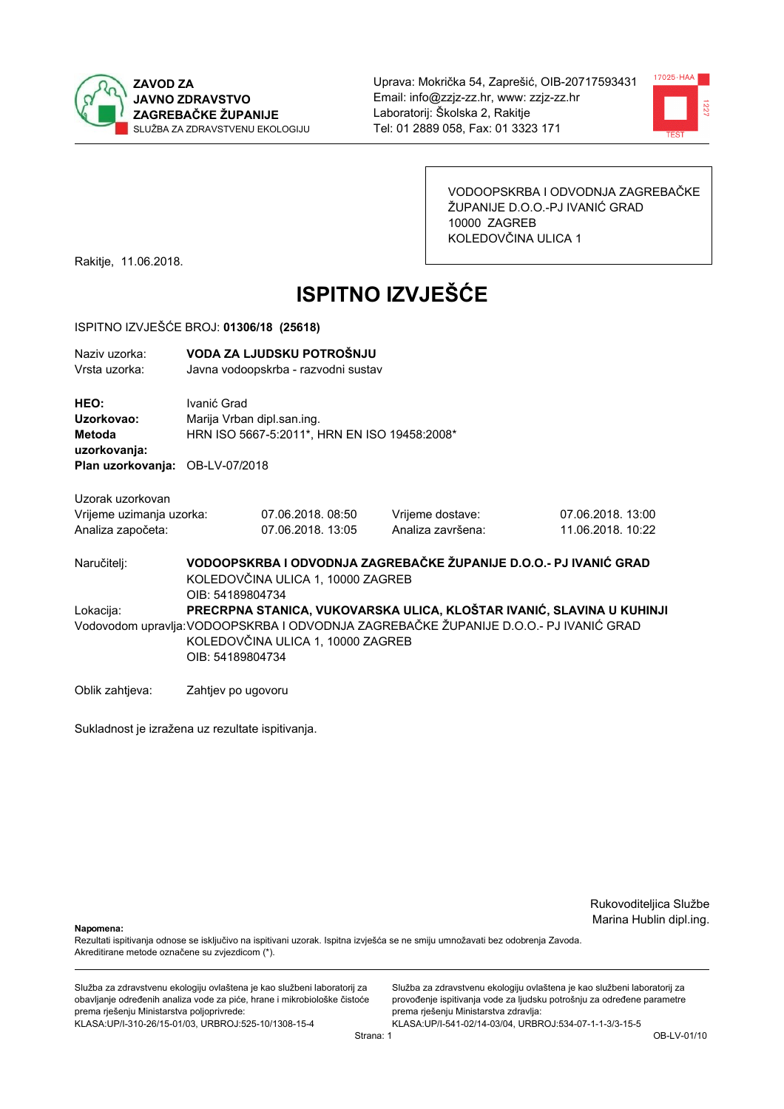



VODOOPSKRBA I ODVODNJA ZAGREBAČKE ŽUPANIJE D.O.O.-PJ IVANIĆ GRAD 10000 ZAGREB KOLEDOVČINA ULICA 1

Rakitje, 11.06.2018.

# **ISPITNO IZVJEŠĆE**

#### ISPITNO IZVJEŠĆE BROJ: 01306/18 (25618)

| Naziv uzorka:<br>Vrsta uzorka:                      | VODA ZA LJUDSKU POTROŠNJU<br>Javna vodoopskrba - razvodni sustav                                                                                                                                                        |                                                                            |                                                                   |                                       |  |
|-----------------------------------------------------|-------------------------------------------------------------------------------------------------------------------------------------------------------------------------------------------------------------------------|----------------------------------------------------------------------------|-------------------------------------------------------------------|---------------------------------------|--|
| HEO:<br>Uzorkovao:<br><b>Metoda</b><br>uzorkovanja: | Ivanić Grad                                                                                                                                                                                                             | Marija Vrban dipl.san.ing.<br>HRN ISO 5667-5:2011*, HRN EN ISO 19458:2008* |                                                                   |                                       |  |
| Plan uzorkovanja:                                   | OB-LV-07/2018                                                                                                                                                                                                           |                                                                            |                                                                   |                                       |  |
| Uzorak uzorkovan                                    |                                                                                                                                                                                                                         |                                                                            |                                                                   |                                       |  |
| Vrijeme uzimanja uzorka:<br>Analiza započeta:       |                                                                                                                                                                                                                         | 07.06.2018.08:50<br>07.06.2018.13:05                                       | Vrijeme dostave:<br>Analiza završena:                             | 07.06.2018.13:00<br>11.06.2018. 10:22 |  |
| Naručitelj:                                         | OIB: 54189804734                                                                                                                                                                                                        | KOLEDOVČINA ULICA 1, 10000 ZAGREB                                          | VODOOPSKRBA I ODVODNJA ZAGREBAČKE ŽUPANIJE D.O.O.- PJ IVANIĆ GRAD |                                       |  |
| Lokacija:                                           | PRECRPNA STANICA, VUKOVARSKA ULICA, KLOŠTAR IVANIĆ, SLAVINA U KUHINJI<br>Vodovodom upravlja: VODOOPSKRBA I ODVODNJA ZAGREBAČKE ŽUPANIJE D.O.O.- PJ IVANIĆ GRAD<br>KOLEDOVČINA ULICA 1, 10000 ZAGREB<br>OIB: 54189804734 |                                                                            |                                                                   |                                       |  |
| Oblik zahtjeva:                                     | Zahtjev po ugovoru                                                                                                                                                                                                      |                                                                            |                                                                   |                                       |  |

Sukladnost je izražena uz rezultate ispitivanja.

Rukovoditeljica Službe Marina Hublin dipl.ing.

Napomena:

Rezultati ispitivanja odnose se isključivo na ispitivani uzorak. Ispitna izvješća se ne smiju umnožavati bez odobrenja Zavoda. Akreditirane metode označene su zvjezdicom (\*).

Služba za zdravstvenu ekologiju ovlaštena je kao službeni laboratorij za obavljanje određenih analiza vode za piće, hrane i mikrobiološke čistoće prema rješenju Ministarstva poljoprivrede: KLASA.UP/I-310-26/15-01/03, URBROJ:525-10/1308-15-4

Služba za zdravstvenu ekologiju ovlaštena je kao službeni laboratorij za provođenje ispitivanja vode za ljudsku potrošnju za određene parametre prema rješenju Ministarstva zdravlja: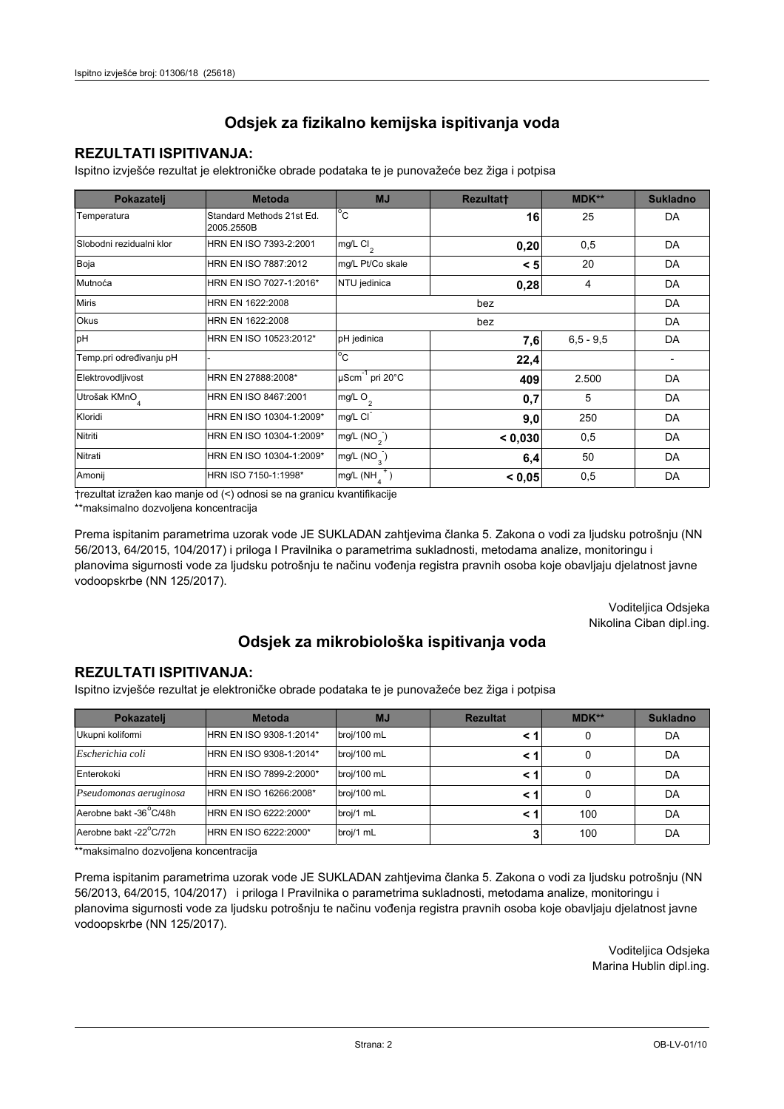### **REZULTATI ISPITIVANJA:**

Ispitno izviešće rezultat je elektroničke obrade podataka te je punovažeće bez žiga i potpisa

| Pokazatelj                | <b>Metoda</b>                           | <b>MJ</b>                        | <b>Rezultatt</b> | <b>MDK**</b>  | <b>Sukladno</b> |
|---------------------------|-----------------------------------------|----------------------------------|------------------|---------------|-----------------|
| Temperatura               | Standard Methods 21st Ed.<br>2005.2550B | $^{\circ}$ C                     | 16               | 25            | DA              |
| Slobodni rezidualni klor  | HRN EN ISO 7393-2:2001                  | $mg/L$ Cl <sub>2</sub>           | 0,20             | 0,5           | DA              |
| Boja                      | HRN EN ISO 7887:2012                    | mg/L Pt/Co skale                 | < 5              | 20            | DA              |
| Mutnoća                   | HRN EN ISO 7027-1:2016*                 | NTU jedinica                     | 0,28             | 4             | DA              |
| <b>Miris</b>              | HRN EN 1622:2008                        |                                  | DA               |               |                 |
| Okus                      | HRN EN 1622:2008                        |                                  |                  | DA            |                 |
| pH                        | HRN EN ISO 10523:2012*                  | pH jedinica                      | 7,6              | $6, 5 - 9, 5$ | DA              |
| Temp.pri određivanju pH   |                                         | $^{\circ}$ C                     | 22,4             |               |                 |
| Elektrovodljivost         | HRN EN 27888:2008*                      | $\mu$ Scm <sup>-1</sup> pri 20°C | 409              | 2.500         | DA              |
| Utrošak KMnO <sub>4</sub> | HRN EN ISO 8467:2001                    | mg/L $O2$                        | 0,7              | 5             | DA              |
| Kloridi                   | HRN EN ISO 10304-1:2009*                | mg/L CI                          | 9,0              | 250           | DA              |
| Nitriti                   | HRN EN ISO 10304-1:2009*                | mg/L (NO <sub>2</sub> )          | < 0,030          | 0,5           | DA              |
| Nitrati                   | HRN EN ISO 10304-1:2009*                | mg/L $(NO_2)$                    | 6,4              | 50            | DA              |
| Amonij                    | HRN ISO 7150-1:1998*                    | mg/L (NH                         | < 0.05           | 0,5           | DA              |

trezultat izražen kao manje od (<) odnosi se na granicu kvantifikacije

\*\*maksimalno dozvoljena koncentracija

Prema ispitanim parametrima uzorak vode JE SUKLADAN zahtjevima članka 5. Zakona o vodi za ljudsku potrošnju (NN 56/2013, 64/2015, 104/2017) i priloga I Pravilnika o parametrima sukladnosti, metodama analize, monitoringu i planovima sigurnosti vode za ljudsku potrošnju te načinu vođenja registra pravnih osoba koje obavljaju djelatnost javne vodoopskrbe (NN 125/2017).

> Voditeljica Odsjeka Nikolina Ciban dipl.ing.

## Odsjek za mikrobiološka ispitivanja voda

#### **REZULTATI ISPITIVANJA:**

Ispitno izvješće rezultat je elektroničke obrade podataka te je punovažeće bez žiga i potpisa

| Pokazatelj                          | <b>Metoda</b>           | <b>MJ</b>   | <b>Rezultat</b> | $MDK**$ | <b>Sukladno</b> |
|-------------------------------------|-------------------------|-------------|-----------------|---------|-----------------|
| Ukupni kolifomi                     | HRN EN ISO 9308-1:2014* | broj/100 mL |                 | 0       | DA              |
| Escherichia coli                    | HRN EN ISO 9308-1:2014* | broj/100 mL |                 | 0       | DA              |
| Enterokoki                          | HRN EN ISO 7899-2:2000* | broj/100 mL |                 | 0       | DA              |
| Pseudomonas aeruginosa              | HRN EN ISO 16266:2008*  | broj/100 mL | < 1             | 0       | DA              |
| Aerobne bakt -36 <sup>°</sup> C/48h | HRN EN ISO 6222:2000*   | broj/1 mL   |                 | 100     | DA              |
| Aerobne bakt -22°C/72h              | HRN EN ISO 6222:2000*   | broj/1 mL   |                 | 100     | DA              |

\*\*maksimalno dozvoljena koncentracija

Prema ispitanim parametrima uzorak vode JE SUKLADAN zahtjevima članka 5. Zakona o vodi za ljudsku potrošnju (NN 56/2013, 64/2015, 104/2017) i priloga I Pravilnika o parametrima sukladnosti, metodama analize, monitoringu i planovima sigurnosti vode za ljudsku potrošnju te načinu vođenja registra pravnih osoba koje obavljaju djelatnost javne vodoopskrbe (NN 125/2017).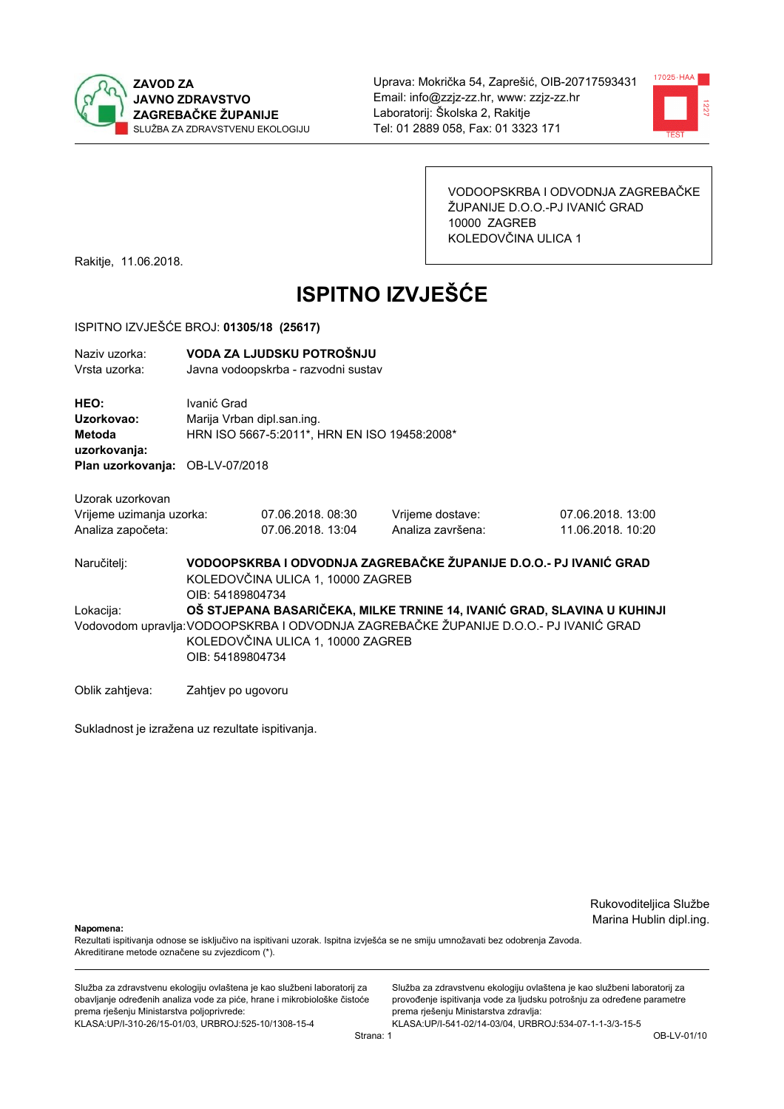



VODOOPSKRBA I ODVODNJA ZAGREBAČKE ŽUPANIJE D.O.O.-PJ IVANIĆ GRAD 10000 ZAGREB KOLEDOVČINA ULICA 1

Rakitje, 11.06.2018.

# **ISPITNO IZVJEŠĆE**

#### ISPITNO IZVJEŠĆE BROJ: 01305/18 (25617)

| Naziv uzorka:<br>Vrsta uzorka:                                    | VODA ZA LJUDSKU POTROŠNJU<br>Javna vodoopskrba - razvodni sustav                                                                                                                                                          |                                                                            |                                       |                                        |  |
|-------------------------------------------------------------------|---------------------------------------------------------------------------------------------------------------------------------------------------------------------------------------------------------------------------|----------------------------------------------------------------------------|---------------------------------------|----------------------------------------|--|
| HEO:<br>Uzorkovao:<br><b>Metoda</b><br>uzorkovanja:               | Ivanić Grad                                                                                                                                                                                                               | Marija Vrban dipl.san.ing.<br>HRN ISO 5667-5:2011*, HRN EN ISO 19458:2008* |                                       |                                        |  |
| Plan uzorkovanja:                                                 | OB-LV-07/2018                                                                                                                                                                                                             |                                                                            |                                       |                                        |  |
| Uzorak uzorkovan<br>Vrijeme uzimanja uzorka:<br>Analiza započeta: |                                                                                                                                                                                                                           | 07.06.2018.08:30<br>07.06.2018. 13:04                                      | Vrijeme dostave:<br>Analiza završena: | 07.06.2018. 13:00<br>11.06.2018. 10:20 |  |
| Naručitelj:                                                       | VODOOPSKRBA I ODVODNJA ZAGREBAČKE ŽUPANIJE D.O.O.- PJ IVANIĆ GRAD<br>KOLEDOVČINA ULICA 1, 10000 ZAGREB<br>OIB: 54189804734                                                                                                |                                                                            |                                       |                                        |  |
| Lokacija:                                                         | OŠ STJEPANA BASARIČEKA, MILKE TRNINE 14, IVANIĆ GRAD, SLAVINA U KUHINJI<br>Vodovodom upravlja: VODOOPSKRBA I ODVODNJA ZAGREBAČKE ŽUPANIJE D.O.O.- PJ IVANIĆ GRAD<br>KOLEDOVČINA ULICA 1, 10000 ZAGREB<br>OIB: 54189804734 |                                                                            |                                       |                                        |  |
| Oblik zahtjeva:                                                   | Zahtjev po ugovoru                                                                                                                                                                                                        |                                                                            |                                       |                                        |  |

Sukladnost je izražena uz rezultate ispitivanja.

Rukovoditeljica Službe Marina Hublin dipl.ing.

Napomena:

Rezultati ispitivanja odnose se isključivo na ispitivani uzorak. Ispitna izvješća se ne smiju umnožavati bez odobrenja Zavoda. Akreditirane metode označene su zvjezdicom (\*).

Služba za zdravstvenu ekologiju ovlaštena je kao službeni laboratorij za obavljanje određenih analiza vode za piće, hrane i mikrobiološke čistoće prema rješenju Ministarstva poljoprivrede: KLASA.UP/I-310-26/15-01/03, URBROJ:525-10/1308-15-4

Služba za zdravstvenu ekologiju ovlaštena je kao službeni laboratorij za provođenje ispitivanja vode za ljudsku potrošnju za određene parametre prema rješenju Ministarstva zdravlja: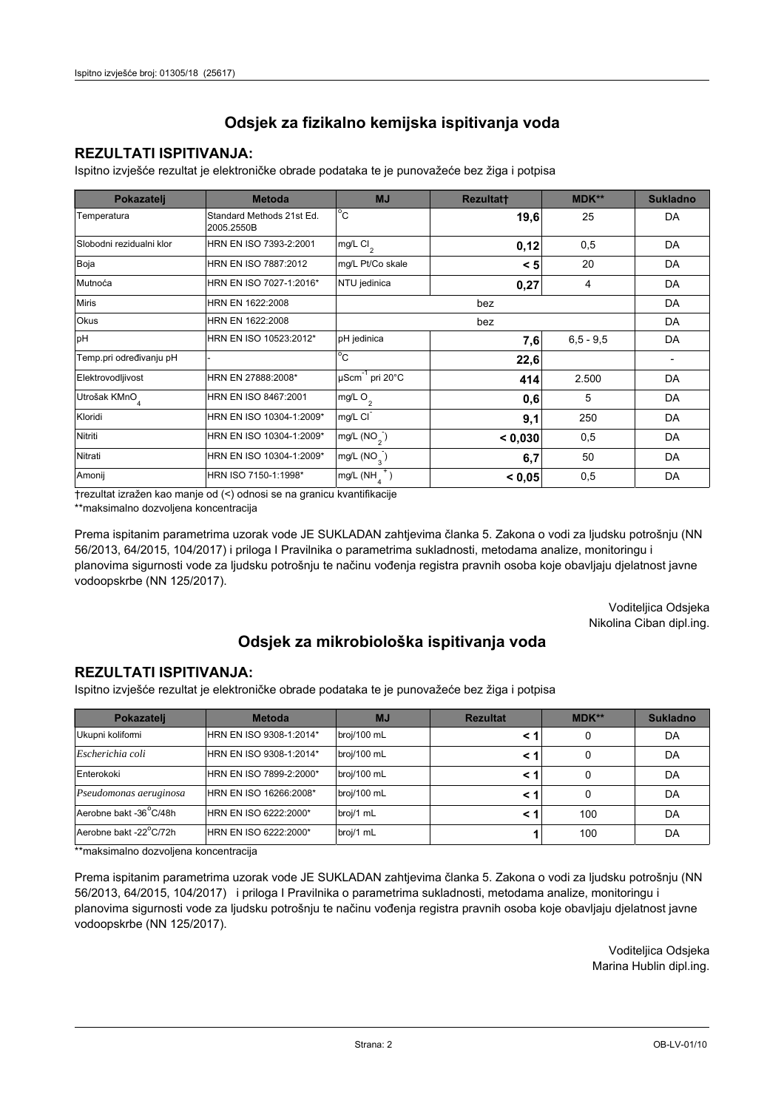### **REZULTATI ISPITIVANJA:**

Ispitno izviešće rezultat je elektroničke obrade podataka te je punovažeće bez žiga i potpisa

| Pokazatelj                | <b>Metoda</b>                           | <b>MJ</b>                   | <b>Rezultatt</b> | <b>MDK**</b>  | <b>Sukladno</b> |
|---------------------------|-----------------------------------------|-----------------------------|------------------|---------------|-----------------|
| Temperatura               | Standard Methods 21st Ed.<br>2005.2550B | $^{\circ}$ C                | 19,6             | 25            | DA              |
| Slobodni rezidualni klor  | HRN EN ISO 7393-2:2001                  | mg/L Cl <sub>2</sub>        | 0,12             | 0,5           | DA              |
| Boja                      | HRN EN ISO 7887:2012                    | mg/L Pt/Co skale            | < 5              | 20            | DA              |
| Mutnoća                   | HRN EN ISO 7027-1:2016*                 | NTU jedinica                | 0,27             | 4             | DA              |
| <b>Miris</b>              | HRN EN 1622:2008                        |                             |                  | DA            |                 |
| Okus                      | HRN EN 1622:2008                        |                             |                  | DA            |                 |
| pH                        | HRN EN ISO 10523:2012*                  | pH jedinica                 | 7,6              | $6, 5 - 9, 5$ | DA              |
| Temp.pri određivanju pH   |                                         | $^{\circ}$ C                | 22,6             |               |                 |
| Elektrovodljivost         | HRN EN 27888:2008*                      | µScm <sup>-1</sup> pri 20°C | 414              | 2.500         | DA              |
| Utrošak KMnO <sub>4</sub> | HRN EN ISO 8467:2001                    | mg/L O <sub>2</sub>         | 0,6              | 5             | DA              |
| Kloridi                   | HRN EN ISO 10304-1:2009*                | mg/L CI                     | 9,1              | 250           | DA              |
| Nitriti                   | HRN EN ISO 10304-1:2009*                | mg/L $(NO2)$                | < 0,030          | 0,5           | DA              |
| Nitrati                   | HRN EN ISO 10304-1:2009*                | mg/L (NO <sub>3</sub> )     | 6,7              | 50            | DA              |
| Amonij                    | HRN ISO 7150-1:1998*                    | mg/L (NH                    | < 0.05           | 0,5           | DA              |

trezultat izražen kao manje od (<) odnosi se na granicu kvantifikacije

\*\*maksimalno dozvoljena koncentracija

Prema ispitanim parametrima uzorak vode JE SUKLADAN zahtjevima članka 5. Zakona o vodi za ljudsku potrošnju (NN 56/2013, 64/2015, 104/2017) i priloga I Pravilnika o parametrima sukladnosti, metodama analize, monitoringu i planovima sigurnosti vode za ljudsku potrošnju te načinu vođenja registra pravnih osoba koje obavljaju djelatnost javne vodoopskrbe (NN 125/2017).

> Voditeljica Odsjeka Nikolina Ciban dipl.ing.

## Odsjek za mikrobiološka ispitivanja voda

#### **REZULTATI ISPITIVANJA:**

Ispitno izvješće rezultat je elektroničke obrade podataka te je punovažeće bez žiga i potpisa

| Pokazatelj                          | <b>Metoda</b>           | <b>MJ</b>   | <b>Rezultat</b> | MDK** | <b>Sukladno</b> |
|-------------------------------------|-------------------------|-------------|-----------------|-------|-----------------|
| Ukupni kolifomi                     | HRN EN ISO 9308-1:2014* | broj/100 mL |                 | 0     | DA              |
| Escherichia coli                    | HRN EN ISO 9308-1:2014* | broj/100 mL |                 | 0     | DA              |
| Enterokoki                          | HRN EN ISO 7899-2:2000* | broj/100 mL | < 1             | 0     | DA              |
| Pseudomonas aeruginosa              | HRN EN ISO 16266:2008*  | broj/100 mL | < 1             | 0     | DA              |
| Aerobne bakt -36 <sup>°</sup> C/48h | HRN EN ISO 6222:2000*   | broj/1 mL   | < '             | 100   | DA              |
| Aerobne bakt -22°C/72h              | HRN EN ISO 6222:2000*   | broj/1 mL   |                 | 100   | DA              |

\*\*maksimalno dozvoljena koncentracija

Prema ispitanim parametrima uzorak vode JE SUKLADAN zahtjevima članka 5. Zakona o vodi za ljudsku potrošnju (NN 56/2013, 64/2015, 104/2017) i priloga I Pravilnika o parametrima sukladnosti, metodama analize, monitoringu i planovima sigurnosti vode za ljudsku potrošnju te načinu vođenja registra pravnih osoba koje obavljaju djelatnost javne vodoopskrbe (NN 125/2017).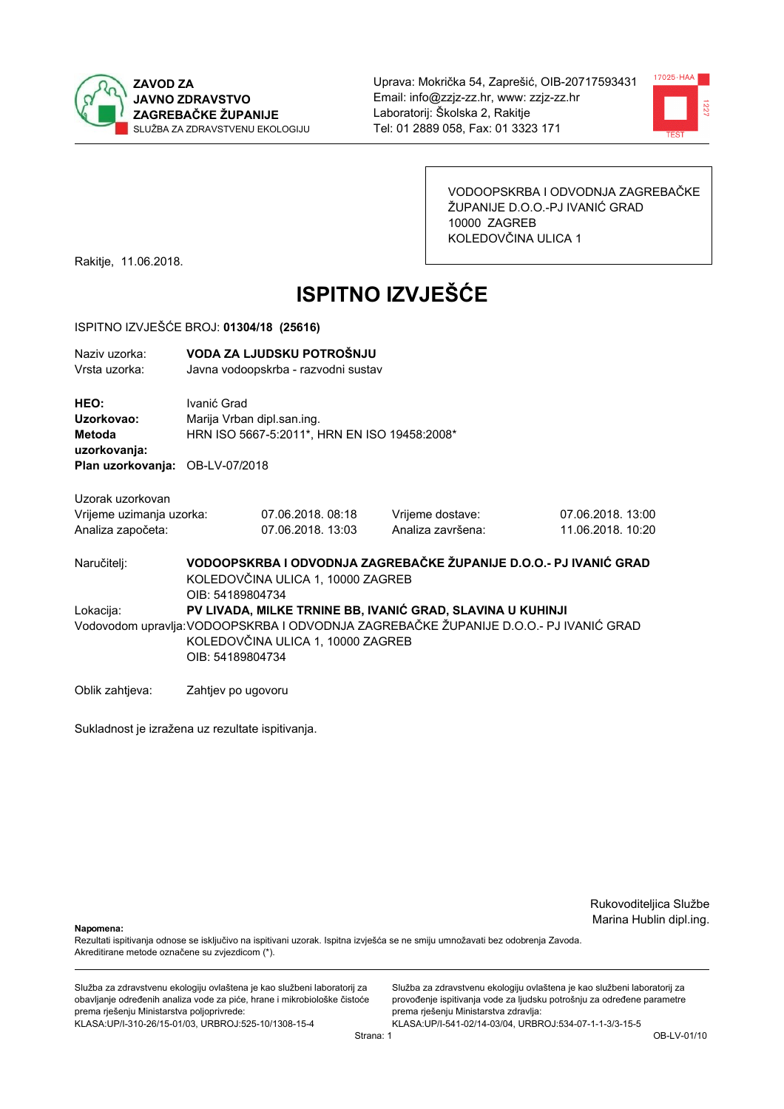



VODOOPSKRBA I ODVODNJA ZAGREBAČKE ŽUPANIJE D.O.O.-PJ IVANIĆ GRAD 10000 ZAGREB KOLEDOVČINA ULICA 1

Rakitje, 11.06.2018.

# **ISPITNO IZVJEŠĆE**

#### ISPITNO IZVJEŠĆE BROJ: 01304/18 (25616)

| Naziy uzorka:<br>Vrsta uzorka:                                                                                                                 | VODA ZA LJUDSKU POTROŠNJU<br>Javna vodoopskrba - razvodni sustav                                                           |                                       |                                       |                                        |  |
|------------------------------------------------------------------------------------------------------------------------------------------------|----------------------------------------------------------------------------------------------------------------------------|---------------------------------------|---------------------------------------|----------------------------------------|--|
| HEO:<br>Uzorkovao:<br>Metoda<br>uzorkovanja:<br>Plan uzorkovanja: OB-LV-07/2018                                                                | Ivanić Grad<br>Marija Vrban dipl.san.ing.<br>HRN ISO 5667-5:2011*, HRN EN ISO 19458:2008*                                  |                                       |                                       |                                        |  |
| Uzorak uzorkovan                                                                                                                               |                                                                                                                            |                                       |                                       |                                        |  |
| Vrijeme uzimanja uzorka:<br>Analiza započeta:                                                                                                  |                                                                                                                            | 07.06.2018.08:18<br>07.06.2018. 13:03 | Vrijeme dostave:<br>Analiza završena: | 07.06.2018. 13:00<br>11.06.2018. 10:20 |  |
| Naručitelj:                                                                                                                                    | VODOOPSKRBA I ODVODNJA ZAGREBAČKE ŽUPANIJE D.O.O.- PJ IVANIĆ GRAD<br>KOLEDOVČINA ULICA 1, 10000 ZAGREB<br>OIB: 54189804734 |                                       |                                       |                                        |  |
| PV LIVADA, MILKE TRNINE BB, IVANIĆ GRAD, SLAVINA U KUHINJI<br>Lokacija:                                                                        |                                                                                                                            |                                       |                                       |                                        |  |
| Vodovodom upravlja: VODOOPSKRBA I ODVODNJA ZAGREBAČKE ŽUPANIJE D.O.O.- PJ IVANIĆ GRAD<br>KOLEDOVČINA ULICA 1, 10000 ZAGREB<br>OIB: 54189804734 |                                                                                                                            |                                       |                                       |                                        |  |
| Oblik zahtjeva:                                                                                                                                | Zahtjev po ugovoru                                                                                                         |                                       |                                       |                                        |  |

Sukladnost je izražena uz rezultate ispitivanja.

Rukovoditeljica Službe Marina Hublin dipl.ing.

Napomena:

Rezultati ispitivanja odnose se isključivo na ispitivani uzorak. Ispitna izvješća se ne smiju umnožavati bez odobrenja Zavoda. Akreditirane metode označene su zvjezdicom (\*).

Služba za zdravstvenu ekologiju ovlaštena je kao službeni laboratorij za obavljanje određenih analiza vode za piće, hrane i mikrobiološke čistoće prema rješenju Ministarstva poljoprivrede: KLASA.UP/I-310-26/15-01/03, URBROJ:525-10/1308-15-4

Služba za zdravstvenu ekologiju ovlaštena je kao službeni laboratorij za provođenje ispitivanja vode za ljudsku potrošnju za određene parametre prema rješenju Ministarstva zdravlja: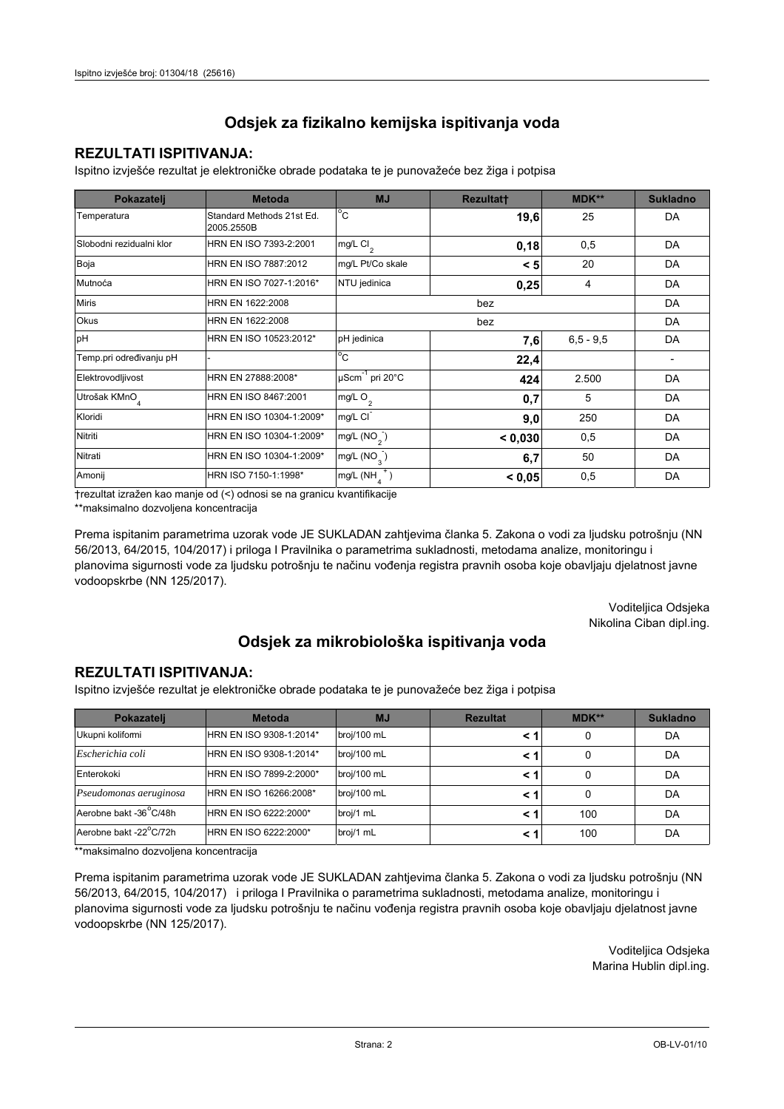### **REZULTATI ISPITIVANJA:**

Ispitno izviešće rezultat je elektroničke obrade podataka te je punovažeće bez žiga i potpisa

| Pokazatelj                | <b>Metoda</b>                           | <b>MJ</b>                   | <b>Rezultatt</b> | <b>MDK**</b>  | <b>Sukladno</b> |
|---------------------------|-----------------------------------------|-----------------------------|------------------|---------------|-----------------|
| Temperatura               | Standard Methods 21st Ed.<br>2005.2550B | $^{\circ}$ C                | 19,6             | 25            | DA              |
| Slobodni rezidualni klor  | HRN EN ISO 7393-2:2001                  | $mg/L$ Cl <sub>2</sub>      | 0,18             | 0,5           | DA              |
| Boja                      | HRN EN ISO 7887:2012                    | mg/L Pt/Co skale            | < 5              | 20            | DA              |
| Mutnoća                   | HRN EN ISO 7027-1:2016*                 | NTU jedinica                | 0,25             | 4             | DA              |
| <b>Miris</b>              | HRN EN 1622:2008                        |                             | bez              |               | DA              |
| <b>Okus</b>               | HRN EN 1622:2008                        |                             | DA               |               |                 |
| pH                        | HRN EN ISO 10523:2012*                  | pH jedinica                 | 7,6              | $6, 5 - 9, 5$ | DA              |
| Temp.pri određivanju pH   |                                         | $^{\circ}$ C                | 22,4             |               |                 |
| Elektrovodljivost         | HRN EN 27888:2008*                      | µScm <sup>-1</sup> pri 20°C | 424              | 2.500         | DA              |
| Utrošak KMnO <sub>4</sub> | HRN EN ISO 8467:2001                    | mg/L $O2$                   | 0,7              | 5             | DA              |
| Kloridi                   | HRN EN ISO 10304-1:2009*                | mg/L CI                     | 9,0              | 250           | DA              |
| Nitriti                   | HRN EN ISO 10304-1:2009*                | mg/L $(NO2)$                | < 0.030          | 0,5           | DA              |
| Nitrati                   | HRN EN ISO 10304-1:2009*                | mg/L $(NO_{\alpha})$        | 6,7              | 50            | DA              |
| Amonij                    | HRN ISO 7150-1:1998*                    | mg/L (NH                    | < 0,05           | 0,5           | DA              |

trezultat izražen kao manje od (<) odnosi se na granicu kvantifikacije

\*\*maksimalno dozvoljena koncentracija

Prema ispitanim parametrima uzorak vode JE SUKLADAN zahtjevima članka 5. Zakona o vodi za ljudsku potrošnju (NN 56/2013, 64/2015, 104/2017) i priloga I Pravilnika o parametrima sukladnosti, metodama analize, monitoringu i planovima sigurnosti vode za ljudsku potrošnju te načinu vođenja registra pravnih osoba koje obavljaju djelatnost javne vodoopskrbe (NN 125/2017).

> Voditeljica Odsjeka Nikolina Ciban dipl.ing.

## Odsjek za mikrobiološka ispitivanja voda

#### **REZULTATI ISPITIVANJA:**

Ispitno izvješće rezultat je elektroničke obrade podataka te je punovažeće bez žiga i potpisa

| Pokazatelj                          | <b>Metoda</b>           | <b>MJ</b>   | <b>Rezultat</b> | $MDK**$ | <b>Sukladno</b> |
|-------------------------------------|-------------------------|-------------|-----------------|---------|-----------------|
| Ukupni kolifomi                     | HRN EN ISO 9308-1:2014* | broj/100 mL |                 | 0       | DA              |
| Escherichia coli                    | HRN EN ISO 9308-1:2014* | broj/100 mL |                 | 0       | DA              |
| Enterokoki                          | HRN EN ISO 7899-2:2000* | broj/100 mL |                 | 0       | DA              |
| Pseudomonas aeruginosa              | HRN EN ISO 16266:2008*  | broj/100 mL | < 1             | 0       | DA              |
| Aerobne bakt -36 <sup>°</sup> C/48h | HRN EN ISO 6222:2000*   | broj/1 mL   |                 | 100     | DA              |
| Aerobne bakt -22°C/72h              | HRN EN ISO 6222:2000*   | broj/1 mL   |                 | 100     | DA              |

\*\*maksimalno dozvoljena koncentracija

Prema ispitanim parametrima uzorak vode JE SUKLADAN zahtjevima članka 5. Zakona o vodi za ljudsku potrošnju (NN 56/2013, 64/2015, 104/2017) i priloga I Pravilnika o parametrima sukladnosti, metodama analize, monitoringu i planovima sigurnosti vode za ljudsku potrošnju te načinu vođenja registra pravnih osoba koje obavljaju djelatnost javne vodoopskrbe (NN 125/2017).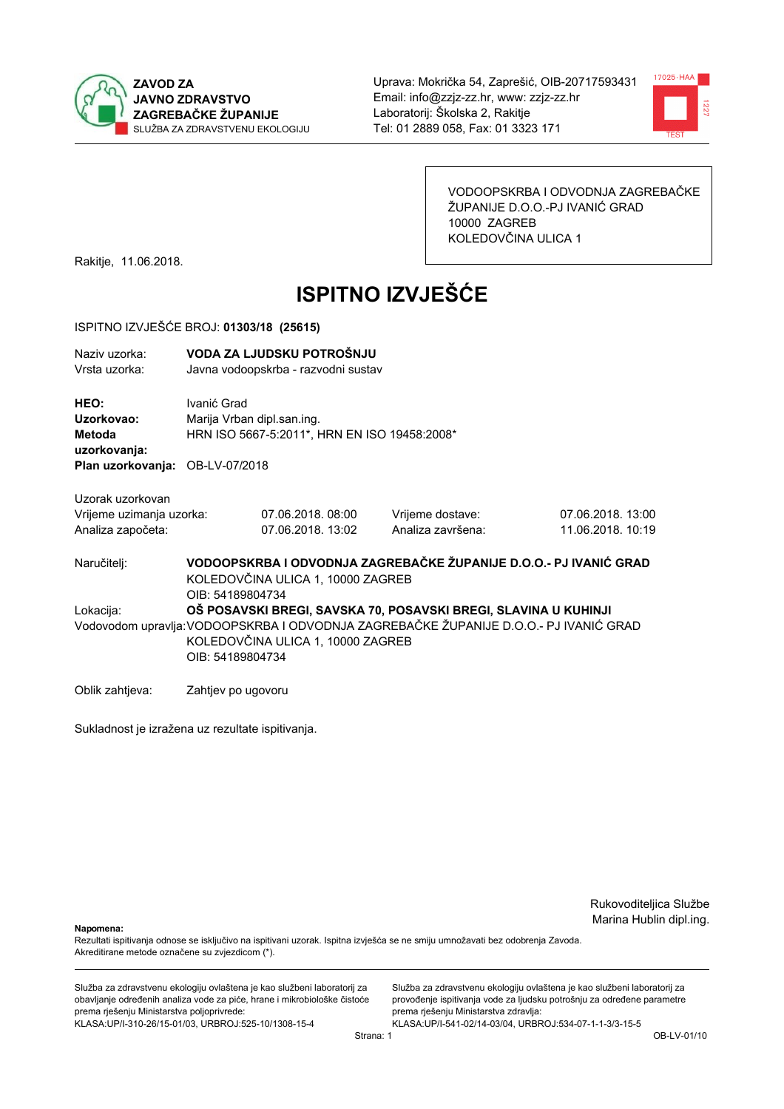



VODOOPSKRBA I ODVODNJA ZAGREBAČKE ŽUPANIJE D.O.O.-PJ IVANIĆ GRAD 10000 ZAGREB KOLEDOVČINA ULICA 1

Rakitje, 11.06.2018.

# **ISPITNO IZVJEŠĆE**

#### ISPITNO IZVJEŠĆE BROJ: 01303/18 (25615)

| Naziv uzorka:<br>Vrsta uzorka:                                                  | VODA ZA LJUDSKU POTROŠNJU<br>Javna vodoopskrba - razvodni sustav                                                                                                                                                  |                                       |                                       |                                        |  |
|---------------------------------------------------------------------------------|-------------------------------------------------------------------------------------------------------------------------------------------------------------------------------------------------------------------|---------------------------------------|---------------------------------------|----------------------------------------|--|
| HEO:<br>Uzorkovao:<br>Metoda<br>uzorkovanja:<br>Plan uzorkovanja: OB-LV-07/2018 | Ivanić Grad<br>Marija Vrban dipl.san.ing.<br>HRN ISO 5667-5:2011*, HRN EN ISO 19458:2008*                                                                                                                         |                                       |                                       |                                        |  |
| Uzorak uzorkovan<br>Vrijeme uzimanja uzorka:<br>Analiza započeta:               |                                                                                                                                                                                                                   | 07.06.2018.08:00<br>07.06.2018. 13:02 | Vrijeme dostave:<br>Analiza završena: | 07.06.2018. 13:00<br>11.06.2018. 10:19 |  |
| Naručitelj:                                                                     | VODOOPSKRBA I ODVODNJA ZAGREBAČKE ŽUPANIJE D.O.O.- PJ IVANIĆ GRAD<br>KOLEDOVČINA ULICA 1, 10000 ZAGREB<br>OIB: 54189804734                                                                                        |                                       |                                       |                                        |  |
| Lokacija:                                                                       | OŠ POSAVSKI BREGI, SAVSKA 70, POSAVSKI BREGI, SLAVINA U KUHINJI<br>Vodovodom upravlja: VODOOPSKRBA I ODVODNJA ZAGREBAČKE ŽUPANIJE D.O.O.- PJ IVANIĆ GRAD<br>KOLEDOVČINA ULICA 1, 10000 ZAGREB<br>OIB: 54189804734 |                                       |                                       |                                        |  |
| Oblik zahtjeva:                                                                 | Zahtjev po ugovoru                                                                                                                                                                                                |                                       |                                       |                                        |  |

Sukladnost je izražena uz rezultate ispitivanja.

Rukovoditeljica Službe Marina Hublin dipl.ing.

Napomena:

Rezultati ispitivanja odnose se isključivo na ispitivani uzorak. Ispitna izvješća se ne smiju umnožavati bez odobrenja Zavoda. Akreditirane metode označene su zvjezdicom (\*).

Služba za zdravstvenu ekologiju ovlaštena je kao službeni laboratorij za obavljanje određenih analiza vode za piće, hrane i mikrobiološke čistoće prema rješenju Ministarstva poljoprivrede: KLASA.UP/I-310-26/15-01/03, URBROJ:525-10/1308-15-4

Služba za zdravstvenu ekologiju ovlaštena je kao službeni laboratorij za provođenje ispitivanja vode za ljudsku potrošnju za određene parametre prema rješenju Ministarstva zdravlja: